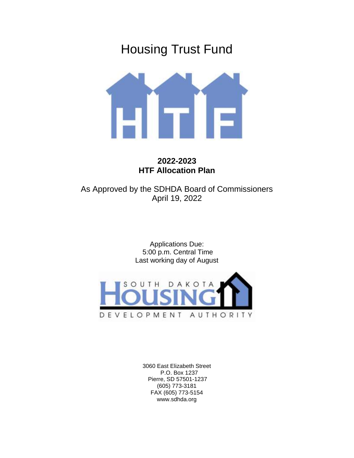# Housing Trust Fund



## **2022-2023 HTF Allocation Plan**

As Approved by the SDHDA Board of Commissioners April 19, 2022

> Applications Due: 5:00 p.m. Central Time Last working day of August



3060 East Elizabeth Street P.O. Box 1237 Pierre, SD 57501-1237 (605) 773-3181 FAX (605) 773-5154 www.sdhda.org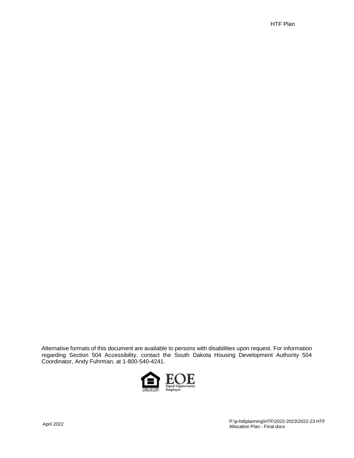Alternative formats of this document are available to persons with disabilities upon request. For information regarding Section 504 Accessibility, contact the South Dakota Housing Development Authority 504 Coordinator, Andy Fuhrman, at 1-800-540-4241.

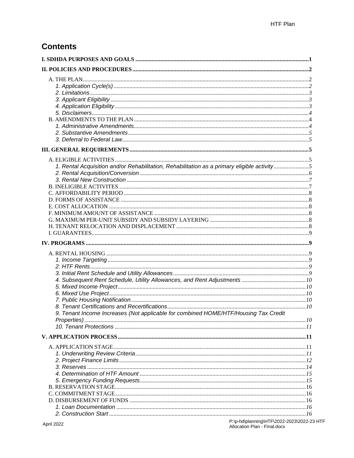# **Contents**

| 1. Rental Acquisition and/or Rehabilitation, Rehabilitation as a primary eligible activity5 |                                            |
|---------------------------------------------------------------------------------------------|--------------------------------------------|
|                                                                                             |                                            |
| 9. Tenant Income Increases (Not applicable for combined HOME/HTF/Housing Tax Credit         |                                            |
|                                                                                             |                                            |
|                                                                                             |                                            |
| April 2022                                                                                  | P:\p-hd\planning\HTF\2022-2023\2022-23 HTF |
|                                                                                             | Allocation Plan - Final.docx               |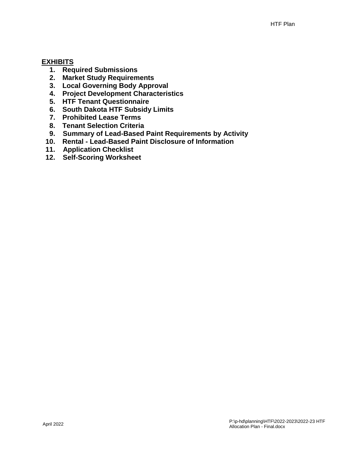## **EXHIBITS**

- **1. Required Submissions**
- **2. Market Study Requirements**
- **3. Local Governing Body Approval**
- **4. Project Development Characteristics**
- **5. HTF Tenant Questionnaire**
- **6. South Dakota HTF Subsidy Limits**
- **7. Prohibited Lease Terms**
- **8. Tenant Selection Criteria**
- **9. Summary of Lead-Based Paint Requirements by Activity**
- **10. Rental - Lead-Based Paint Disclosure of Information**
- **11. Application Checklist**
- **12. Self-Scoring Worksheet**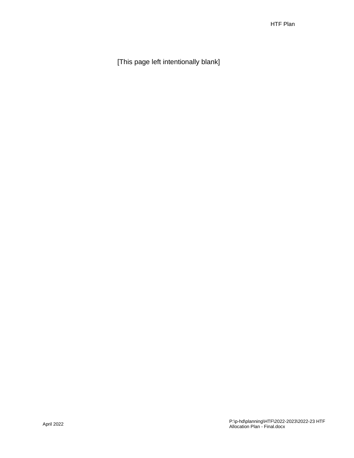[This page left intentionally blank]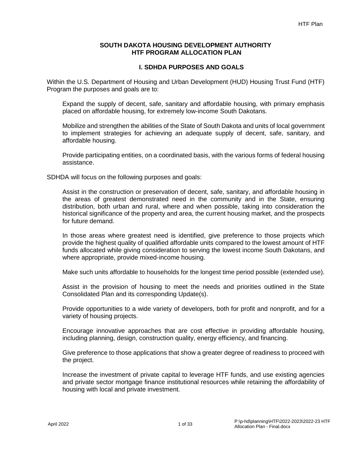#### **SOUTH DAKOTA HOUSING DEVELOPMENT AUTHORITY HTF PROGRAM ALLOCATION PLAN**

#### **I. SDHDA PURPOSES AND GOALS**

<span id="page-6-0"></span>Within the U.S. Department of Housing and Urban Development (HUD) Housing Trust Fund (HTF) Program the purposes and goals are to:

Expand the supply of decent, safe, sanitary and affordable housing, with primary emphasis placed on affordable housing, for extremely low-income South Dakotans.

Mobilize and strengthen the abilities of the State of South Dakota and units of local government to implement strategies for achieving an adequate supply of decent, safe, sanitary, and affordable housing.

Provide participating entities, on a coordinated basis, with the various forms of federal housing assistance.

SDHDA will focus on the following purposes and goals:

Assist in the construction or preservation of decent, safe, sanitary, and affordable housing in the areas of greatest demonstrated need in the community and in the State, ensuring distribution, both urban and rural, where and when possible, taking into consideration the historical significance of the property and area, the current housing market, and the prospects for future demand.

In those areas where greatest need is identified, give preference to those projects which provide the highest quality of qualified affordable units compared to the lowest amount of HTF funds allocated while giving consideration to serving the lowest income South Dakotans, and where appropriate, provide mixed-income housing.

Make such units affordable to households for the longest time period possible (extended use).

Assist in the provision of housing to meet the needs and priorities outlined in the State Consolidated Plan and its corresponding Update(s).

Provide opportunities to a wide variety of developers, both for profit and nonprofit, and for a variety of housing projects.

Encourage innovative approaches that are cost effective in providing affordable housing, including planning, design, construction quality, energy efficiency, and financing.

Give preference to those applications that show a greater degree of readiness to proceed with the project.

Increase the investment of private capital to leverage HTF funds, and use existing agencies and private sector mortgage finance institutional resources while retaining the affordability of housing with local and private investment.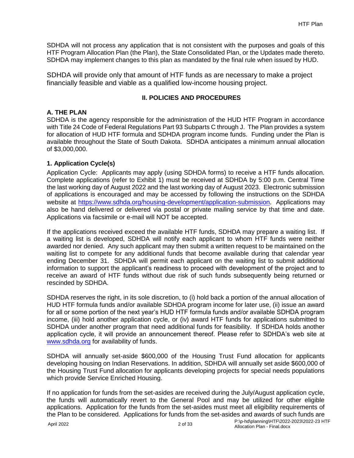SDHDA will not process any application that is not consistent with the purposes and goals of this HTF Program Allocation Plan (the Plan), the State Consolidated Plan, or the Updates made thereto. SDHDA may implement changes to this plan as mandated by the final rule when issued by HUD.

SDHDA will provide only that amount of HTF funds as are necessary to make a project financially feasible and viable as a qualified low-income housing project.

#### **II. POLICIES AND PROCEDURES**

#### <span id="page-7-1"></span><span id="page-7-0"></span>**A. THE PLAN**

SDHDA is the agency responsible for the administration of the HUD HTF Program in accordance with Title 24 Code of Federal Regulations Part 93 Subparts C through J. The Plan provides a system for allocation of HUD HTF formula and SDHDA program income funds. Funding under the Plan is available throughout the State of South Dakota. SDHDA anticipates a minimum annual allocation of \$3,000,000.

#### <span id="page-7-2"></span>**1. Application Cycle(s)**

Application Cycle: Applicants may apply (using SDHDA forms) to receive a HTF funds allocation. Complete applications (refer to Exhibit 1) must be received at SDHDA by 5:00 p.m. Central Time the last working day of August 2022 and the last working day of August 2023. Electronic submission of applications is encouraged and may be accessed by following the instructions on the SDHDA website at<https://www.sdhda.org/housing-development/application-submission>. Applications may also be hand delivered or delivered via postal or private mailing service by that time and date. Applications via facsimile or e-mail will NOT be accepted.

If the applications received exceed the available HTF funds, SDHDA may prepare a waiting list. If a waiting list is developed, SDHDA will notify each applicant to whom HTF funds were neither awarded nor denied. Any such applicant may then submit a written request to be maintained on the waiting list to compete for any additional funds that become available during that calendar year ending December 31. SDHDA will permit each applicant on the waiting list to submit additional information to support the applicant's readiness to proceed with development of the project and to receive an award of HTF funds without due risk of such funds subsequently being returned or rescinded by SDHDA.

SDHDA reserves the right, in its sole discretion, to (i) hold back a portion of the annual allocation of HUD HTF formula funds and/or available SDHDA program income for later use, (ii) issue an award for all or some portion of the next year's HUD HTF formula funds and/or available SDHDA program income, (iii) hold another application cycle, or (iv) award HTF funds for applications submitted to SDHDA under another program that need additional funds for feasibility. If SDHDA holds another application cycle, it will provide an announcement thereof. Please refer to SDHDA's web site at [www.sdhda.org](http://www.sdhda.org/) for availability of funds.

SDHDA will annually set-aside \$600,000 of the Housing Trust Fund allocation for applicants developing housing on Indian Reservations. In addition, SDHDA will annually set aside \$600,000 of the Housing Trust Fund allocation for applicants developing projects for special needs populations which provide Service Enriched Housing.

If no application for funds from the set-asides are received during the July/August application cycle, the funds will automatically revert to the General Pool and may be utilized for other eligible applications. Application for the funds from the set-asides must meet all eligibility requirements of the Plan to be considered. Applications for funds from the set-asides and awards of such funds are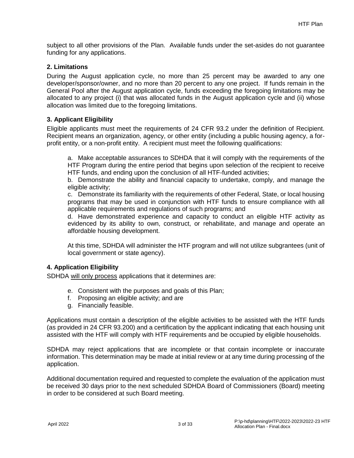subject to all other provisions of the Plan. Available funds under the set-asides do not guarantee funding for any applications.

#### <span id="page-8-0"></span>**2. Limitations**

During the August application cycle, no more than 25 percent may be awarded to any one developer/sponsor/owner, and no more than 20 percent to any one project. If funds remain in the General Pool after the August application cycle, funds exceeding the foregoing limitations may be allocated to any project (i) that was allocated funds in the August application cycle and (ii) whose allocation was limited due to the foregoing limitations.

## <span id="page-8-1"></span>**3. Applicant Eligibility**

Eligible applicants must meet the requirements of 24 CFR 93.2 under the definition of Recipient. Recipient means an organization, agency, or other entity (including a public housing agency, a forprofit entity, or a non-profit entity. A recipient must meet the following qualifications:

a. Make acceptable assurances to SDHDA that it will comply with the requirements of the HTF Program during the entire period that begins upon selection of the recipient to receive HTF funds, and ending upon the conclusion of all HTF-funded activities;

b. Demonstrate the ability and financial capacity to undertake, comply, and manage the eligible activity;

c. Demonstrate its familiarity with the requirements of other Federal, State, or local housing programs that may be used in conjunction with HTF funds to ensure compliance with all applicable requirements and regulations of such programs; and

d. Have demonstrated experience and capacity to conduct an eligible HTF activity as evidenced by its ability to own, construct, or rehabilitate, and manage and operate an affordable housing development.

At this time, SDHDA will administer the HTF program and will not utilize subgrantees (unit of local government or state agency).

#### <span id="page-8-2"></span>**4. Application Eligibility**

SDHDA will only process applications that it determines are:

- e. Consistent with the purposes and goals of this Plan;
- f. Proposing an eligible activity; and are
- g. Financially feasible.

Applications must contain a description of the eligible activities to be assisted with the HTF funds (as provided in 24 CFR 93.200) and a certification by the applicant indicating that each housing unit assisted with the HTF will comply with HTF requirements and be occupied by eligible households.

SDHDA may reject applications that are incomplete or that contain incomplete or inaccurate information. This determination may be made at initial review or at any time during processing of the application.

Additional documentation required and requested to complete the evaluation of the application must be received 30 days prior to the next scheduled SDHDA Board of Commissioners (Board) meeting in order to be considered at such Board meeting.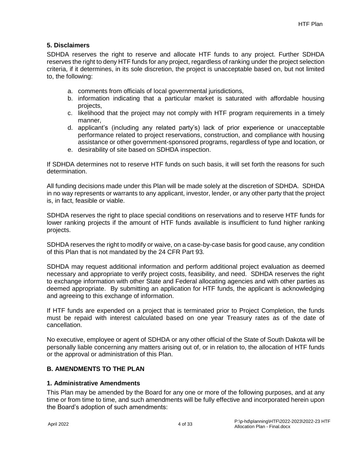#### <span id="page-9-0"></span>**5. Disclaimers**

SDHDA reserves the right to reserve and allocate HTF funds to any project. Further SDHDA reserves the right to deny HTF funds for any project, regardless of ranking under the project selection criteria, if it determines, in its sole discretion, the project is unacceptable based on, but not limited to, the following:

- a. comments from officials of local governmental jurisdictions,
- b. information indicating that a particular market is saturated with affordable housing projects,
- c. likelihood that the project may not comply with HTF program requirements in a timely manner,
- d. applicant's (including any related party's) lack of prior experience or unacceptable performance related to project reservations, construction, and compliance with housing assistance or other government-sponsored programs, regardless of type and location, or
- e. desirability of site based on SDHDA inspection.

If SDHDA determines not to reserve HTF funds on such basis, it will set forth the reasons for such determination.

All funding decisions made under this Plan will be made solely at the discretion of SDHDA. SDHDA in no way represents or warrants to any applicant, investor, lender, or any other party that the project is, in fact, feasible or viable.

SDHDA reserves the right to place special conditions on reservations and to reserve HTF funds for lower ranking projects if the amount of HTF funds available is insufficient to fund higher ranking projects.

SDHDA reserves the right to modify or waive, on a case-by-case basis for good cause, any condition of this Plan that is not mandated by the 24 CFR Part 93.

SDHDA may request additional information and perform additional project evaluation as deemed necessary and appropriate to verify project costs, feasibility, and need. SDHDA reserves the right to exchange information with other State and Federal allocating agencies and with other parties as deemed appropriate. By submitting an application for HTF funds, the applicant is acknowledging and agreeing to this exchange of information.

If HTF funds are expended on a project that is terminated prior to Project Completion, the funds must be repaid with interest calculated based on one year Treasury rates as of the date of cancellation.

No executive, employee or agent of SDHDA or any other official of the State of South Dakota will be personally liable concerning any matters arising out of, or in relation to, the allocation of HTF funds or the approval or administration of this Plan.

#### <span id="page-9-2"></span><span id="page-9-1"></span>**B. AMENDMENTS TO THE PLAN**

#### **1. Administrative Amendments**

This Plan may be amended by the Board for any one or more of the following purposes, and at any time or from time to time, and such amendments will be fully effective and incorporated herein upon the Board's adoption of such amendments: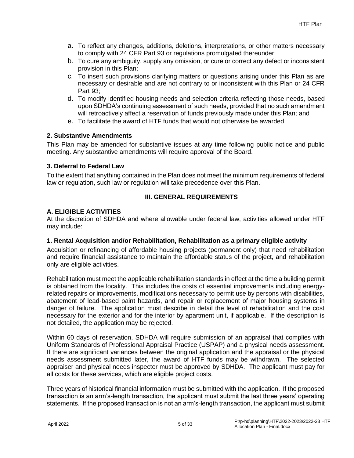- a. To reflect any changes, additions, deletions, interpretations, or other matters necessary to comply with 24 CFR Part 93 or regulations promulgated thereunder;
- b. To cure any ambiguity, supply any omission, or cure or correct any defect or inconsistent provision in this Plan;
- c. To insert such provisions clarifying matters or questions arising under this Plan as are necessary or desirable and are not contrary to or inconsistent with this Plan or 24 CFR Part 93;
- d. To modify identified housing needs and selection criteria reflecting those needs, based upon SDHDA's continuing assessment of such needs, provided that no such amendment will retroactively affect a reservation of funds previously made under this Plan; and
- e. To facilitate the award of HTF funds that would not otherwise be awarded.

#### <span id="page-10-0"></span>**2. Substantive Amendments**

This Plan may be amended for substantive issues at any time following public notice and public meeting. Any substantive amendments will require approval of the Board.

#### <span id="page-10-1"></span>**3. Deferral to Federal Law**

To the extent that anything contained in the Plan does not meet the minimum requirements of federal law or regulation, such law or regulation will take precedence over this Plan.

## **III. GENERAL REQUIREMENTS**

## <span id="page-10-3"></span><span id="page-10-2"></span>**A. ELIGIBLE ACTIVITIES**

At the discretion of SDHDA and where allowable under federal law, activities allowed under HTF may include:

#### <span id="page-10-4"></span>**1. Rental Acquisition and/or Rehabilitation, Rehabilitation as a primary eligible activity**

Acquisition or refinancing of affordable housing projects (permanent only) that need rehabilitation and require financial assistance to maintain the affordable status of the project, and rehabilitation only are eligible activities.

Rehabilitation must meet the applicable rehabilitation standards in effect at the time a building permit is obtained from the locality. This includes the costs of essential improvements including energyrelated repairs or improvements, modifications necessary to permit use by persons with disabilities, abatement of lead-based paint hazards, and repair or replacement of major housing systems in danger of failure. The application must describe in detail the level of rehabilitation and the cost necessary for the exterior and for the interior by apartment unit, if applicable. If the description is not detailed, the application may be rejected.

Within 60 days of reservation, SDHDA will require submission of an appraisal that complies with Uniform Standards of Professional Appraisal Practice (USPAP) and a physical needs assessment. If there are significant variances between the original application and the appraisal or the physical needs assessment submitted later, the award of HTF funds may be withdrawn. The selected appraiser and physical needs inspector must be approved by SDHDA. The applicant must pay for all costs for these services, which are eligible project costs.

Three years of historical financial information must be submitted with the application. If the proposed transaction is an arm's-length transaction, the applicant must submit the last three years' operating statements. If the proposed transaction is not an arm's-length transaction, the applicant must submit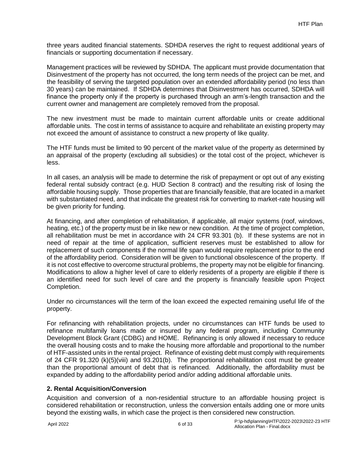three years audited financial statements. SDHDA reserves the right to request additional years of financials or supporting documentation if necessary.

Management practices will be reviewed by SDHDA. The applicant must provide documentation that Disinvestment of the property has not occurred, the long term needs of the project can be met, and the feasibility of serving the targeted population over an extended affordability period (no less than 30 years) can be maintained. If SDHDA determines that Disinvestment has occurred, SDHDA will finance the property only if the property is purchased through an arm's-length transaction and the current owner and management are completely removed from the proposal.

The new investment must be made to maintain current affordable units or create additional affordable units. The cost in terms of assistance to acquire and rehabilitate an existing property may not exceed the amount of assistance to construct a new property of like quality.

The HTF funds must be limited to 90 percent of the market value of the property as determined by an appraisal of the property (excluding all subsidies) or the total cost of the project, whichever is less.

In all cases, an analysis will be made to determine the risk of prepayment or opt out of any existing federal rental subsidy contract (e.g. HUD Section 8 contract) and the resulting risk of losing the affordable housing supply. Those properties that are financially feasible, that are located in a market with substantiated need, and that indicate the greatest risk for converting to market-rate housing will be given priority for funding.

At financing, and after completion of rehabilitation, if applicable, all major systems (roof, windows, heating, etc.) of the property must be in like new or new condition. At the time of project completion, all rehabilitation must be met in accordance with 24 CFR 93.301 (b). If these systems are not in need of repair at the time of application, sufficient reserves must be established to allow for replacement of such components if the normal life span would require replacement prior to the end of the affordability period. Consideration will be given to functional obsolescence of the property. If it is not cost effective to overcome structural problems, the property may not be eligible for financing. Modifications to allow a higher level of care to elderly residents of a property are eligible if there is an identified need for such level of care and the property is financially feasible upon Project Completion.

Under no circumstances will the term of the loan exceed the expected remaining useful life of the property.

For refinancing with rehabilitation projects, under no circumstances can HTF funds be used to refinance multifamily loans made or insured by any federal program, including Community Development Block Grant (CDBG) and HOME. Refinancing is only allowed if necessary to reduce the overall housing costs and to make the housing more affordable and proportional to the number of HTF-assisted units in the rental project. Refinance of existing debt must comply with requirements of 24 CFR 91.320 (k)(5)(viii) and 93.201(b). The proportional rehabilitation cost must be greater than the proportional amount of debt that is refinanced. Additionally, the affordability must be expanded by adding to the affordability period and/or adding additional affordable units.

## <span id="page-11-0"></span>**2. Rental Acquisition/Conversion**

Acquisition and conversion of a non-residential structure to an affordable housing project is considered rehabilitation or reconstruction, unless the conversion entails adding one or more units beyond the existing walls, in which case the project is then considered new construction.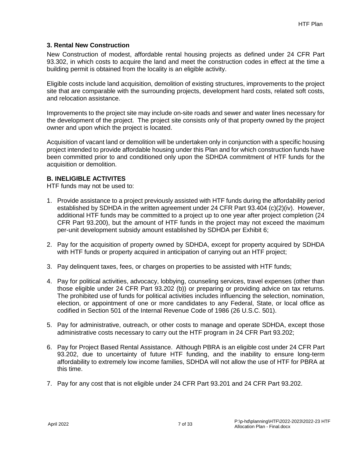#### <span id="page-12-0"></span>**3. Rental New Construction**

New Construction of modest, affordable rental housing projects as defined under 24 CFR Part 93.302, in which costs to acquire the land and meet the construction codes in effect at the time a building permit is obtained from the locality is an eligible activity.

Eligible costs include land acquisition, demolition of existing structures, improvements to the project site that are comparable with the surrounding projects, development hard costs, related soft costs, and relocation assistance.

Improvements to the project site may include on-site roads and sewer and water lines necessary for the development of the project. The project site consists only of that property owned by the project owner and upon which the project is located.

Acquisition of vacant land or demolition will be undertaken only in conjunction with a specific housing project intended to provide affordable housing under this Plan and for which construction funds have been committed prior to and conditioned only upon the SDHDA commitment of HTF funds for the acquisition or demolition.

#### <span id="page-12-1"></span>**B. INELIGIBLE ACTIVITES**

HTF funds may not be used to:

- 1. Provide assistance to a project previously assisted with HTF funds during the affordability period established by SDHDA in the written agreement under 24 CFR Part 93.404 (c)(2)(iv). However, additional HTF funds may be committed to a project up to one year after project completion (24 CFR Part 93.200), but the amount of HTF funds in the project may not exceed the maximum per-unit development subsidy amount established by SDHDA per Exhibit 6;
- 2. Pay for the acquisition of property owned by SDHDA, except for property acquired by SDHDA with HTF funds or property acquired in anticipation of carrying out an HTF project;
- 3. Pay delinquent taxes, fees, or charges on properties to be assisted with HTF funds;
- 4. Pay for political activities, advocacy, lobbying, counseling services, travel expenses (other than those eligible under 24 CFR Part 93.202 (b)) or preparing or providing advice on tax returns. The prohibited use of funds for political activities includes influencing the selection, nomination, election, or appointment of one or more candidates to any Federal, State, or local office as codified in Section 501 of the Internal Revenue Code of 1986 (26 U.S.C. 501).
- 5. Pay for administrative, outreach, or other costs to manage and operate SDHDA, except those administrative costs necessary to carry out the HTF program in 24 CFR Part 93.202;
- 6. Pay for Project Based Rental Assistance. Although PBRA is an eligible cost under 24 CFR Part 93.202, due to uncertainty of future HTF funding, and the inability to ensure long-term affordability to extremely low income families, SDHDA will not allow the use of HTF for PBRA at this time.
- 7. Pay for any cost that is not eligible under 24 CFR Part 93.201 and 24 CFR Part 93.202.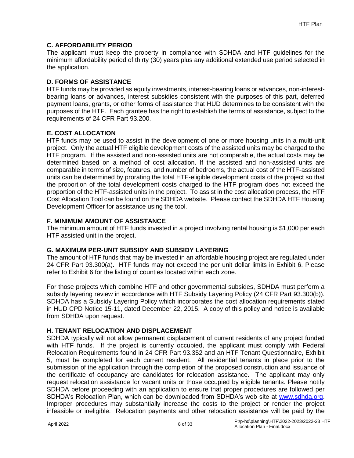## <span id="page-13-0"></span>**C. AFFORDABILITY PERIOD**

The applicant must keep the property in compliance with SDHDA and HTF guidelines for the minimum affordability period of thirty (30) years plus any additional extended use period selected in the application.

## <span id="page-13-1"></span>**D. FORMS OF ASSISTANCE**

HTF funds may be provided as equity investments, interest-bearing loans or advances, non-interestbearing loans or advances, interest subsidies consistent with the purposes of this part, deferred payment loans, grants, or other forms of assistance that HUD determines to be consistent with the purposes of the HTF. Each grantee has the right to establish the terms of assistance, subject to the requirements of 24 CFR Part 93.200.

## <span id="page-13-2"></span>**E. COST ALLOCATION**

HTF funds may be used to assist in the development of one or more housing units in a multi-unit project. Only the actual HTF eligible development costs of the assisted units may be charged to the HTF program. If the assisted and non-assisted units are not comparable, the actual costs may be determined based on a method of cost allocation. If the assisted and non-assisted units are comparable in terms of size, features, and number of bedrooms, the actual cost of the HTF-assisted units can be determined by prorating the total HTF-eligible development costs of the project so that the proportion of the total development costs charged to the HTF program does not exceed the proportion of the HTF-assisted units in the project. To assist in the cost allocation process, the HTF Cost Allocation Tool can be found on the SDHDA website. Please contact the SDHDA HTF Housing Development Officer for assistance using the tool.

## <span id="page-13-3"></span>**F. MINIMUM AMOUNT OF ASSISTANCE**

The minimum amount of HTF funds invested in a project involving rental housing is \$1,000 per each HTF assisted unit in the project.

## <span id="page-13-4"></span>**G. MAXIMUM PER-UNIT SUBSIDY AND SUBSIDY LAYERING**

The amount of HTF funds that may be invested in an affordable housing project are regulated under 24 CFR Part 93.300(a). HTF funds may not exceed the per unit dollar limits in Exhibit 6. Please refer to Exhibit 6 for the listing of counties located within each zone.

For those projects which combine HTF and other governmental subsides, SDHDA must perform a subsidy layering review in accordance with HTF Subsidy Layering Policy (24 CFR Part 93.300(b)). SDHDA has a Subsidy Layering Policy which incorporates the cost allocation requirements stated in HUD CPD Notice 15-11, dated December 22, 2015. A copy of this policy and notice is available from SDHDA upon request.

## <span id="page-13-5"></span>**H. TENANT RELOCATION AND DISPLACEMENT**

SDHDA typically will not allow permanent displacement of current residents of any project funded with HTF funds. If the project is currently occupied, the applicant must comply with Federal Relocation Requirements found in 24 CFR Part 93.352 and an HTF Tenant Questionnaire, Exhibit 5, must be completed for each current resident. All residential tenants in place prior to the submission of the application through the completion of the proposed construction and issuance of the certificate of occupancy are candidates for relocation assistance. The applicant may only request relocation assistance for vacant units or those occupied by eligible tenants. Please notify SDHDA before proceeding with an application to ensure that proper procedures are followed per SDHDA's Relocation Plan, which can be downloaded from SDHDA's web site at [www.sdhda.org.](http://www.sdhda.org/) Improper procedures may substantially increase the costs to the project or render the project infeasible or ineligible. Relocation payments and other relocation assistance will be paid by the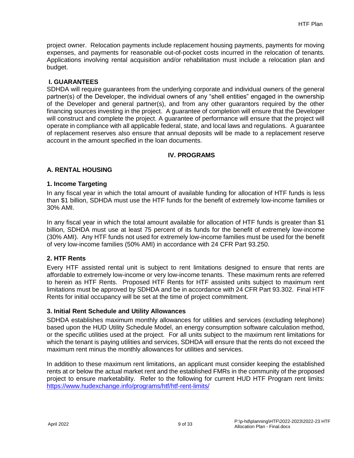project owner.Relocation payments include replacement housing payments, payments for moving expenses, and payments for reasonable out-of-pocket costs incurred in the relocation of tenants. Applications involving rental acquisition and/or rehabilitation must include a relocation plan and budget.

#### <span id="page-14-0"></span>**I. GUARANTEES**

SDHDA will require guarantees from the underlying corporate and individual owners of the general partner(s) of the Developer, the individual owners of any "shell entities" engaged in the ownership of the Developer and general partner(s), and from any other guarantors required by the other financing sources investing in the project. A guarantee of completion will ensure that the Developer will construct and complete the project. A guarantee of performance will ensure that the project will operate in compliance with all applicable federal, state, and local laws and regulations. A guarantee of replacement reserves also ensure that annual deposits will be made to a replacement reserve account in the amount specified in the loan documents.

## **IV. PROGRAMS**

## <span id="page-14-3"></span><span id="page-14-2"></span><span id="page-14-1"></span>**A. RENTAL HOUSING**

#### **1. Income Targeting**

In any fiscal year in which the total amount of available funding for allocation of HTF funds is less than \$1 billion, SDHDA must use the HTF funds for the benefit of extremely low-income families or 30% AMI.

In any fiscal year in which the total amount available for allocation of HTF funds is greater than \$1 billion, SDHDA must use at least 75 percent of its funds for the benefit of extremely low-income (30% AMI). Any HTF funds not used for extremely low-income families must be used for the benefit of very low-income families (50% AMI) in accordance with 24 CFR Part 93.250.

#### <span id="page-14-4"></span>**2. HTF Rents**

Every HTF assisted rental unit is subject to rent limitations designed to ensure that rents are affordable to extremely low-income or very low-income tenants. These maximum rents are referred to herein as HTF Rents. Proposed HTF Rents for HTF assisted units subject to maximum rent limitations must be approved by SDHDA and be in accordance with 24 CFR Part 93.302. Final HTF Rents for initial occupancy will be set at the time of project commitment.

#### <span id="page-14-5"></span>**3. Initial Rent Schedule and Utility Allowances**

SDHDA establishes maximum monthly allowances for utilities and services (excluding telephone) based upon the HUD Utility Schedule Model, an energy consumption software calculation method, or the specific utilities used at the project. For all units subject to the maximum rent limitations for which the tenant is paying utilities and services, SDHDA will ensure that the rents do not exceed the maximum rent minus the monthly allowances for utilities and services.

In addition to these maximum rent limitations, an applicant must consider keeping the established rents at or below the actual market rent and the established FMRs in the community of the proposed project to ensure marketability. Refer to the following for current HUD HTF Program rent limits: <https://www.hudexchange.info/programs/htf/htf-rent-limits/>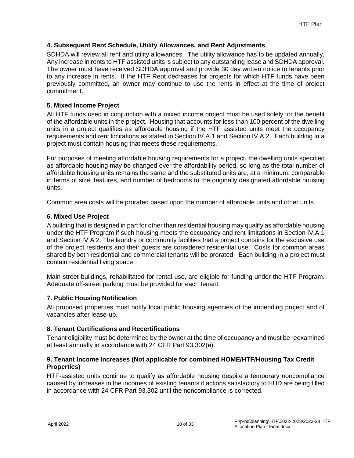#### <span id="page-15-0"></span>**4. Subsequent Rent Schedule, Utility Allowances, and Rent Adjustments**

SDHDA will review all rent and utility allowances. The utility allowance has to be updated annually. Any increase in rents to HTF assisted units is subject to any outstanding lease and SDHDA approval. The owner must have received SDHDA approval and provide 30 day written notice to tenants prior to any increase in rents. If the HTF Rent decreases for projects for which HTF funds have been previously committed, an owner may continue to use the rents in effect at the time of project commitment.

#### <span id="page-15-1"></span>**5. Mixed Income Project**

All HTF funds used in conjunction with a mixed income project must be used solely for the benefit of the affordable units in the project. Housing that accounts for less than 100 percent of the dwelling units in a project qualifies as affordable housing if the HTF assisted units meet the occupancy requirements and rent limitations as stated in Section IV.A.1 and Section IV.A.2. Each building in a project must contain housing that meets these requirements.

For purposes of meeting affordable housing requirements for a project, the dwelling units specified as affordable housing may be changed over the affordability period, so long as the total number of affordable housing units remains the same and the substituted units are, at a minimum, comparable in terms of size, features, and number of bedrooms to the originally designated affordable housing units.

Common area costs will be prorated based upon the number of affordable units and other units.

#### <span id="page-15-2"></span>**6. Mixed Use Project**

A building that is designed in part for other than residential housing may qualify as affordable housing under the HTF Program if such housing meets the occupancy and rent limitations in Section IV.A.1 and Section IV.A.2. The laundry or community facilities that a project contains for the exclusive use of the project residents and their guests are considered residential use. Costs for common areas shared by both residential and commercial tenants will be prorated. Each building in a project must contain residential living space.

Main street buildings, rehabilitated for rental use, are eligible for funding under the HTF Program. Adequate off-street parking must be provided for each tenant.

#### <span id="page-15-3"></span>**7. Public Housing Notification**

All proposed properties must notify local public housing agencies of the impending project and of vacancies after lease-up.

#### <span id="page-15-4"></span>**8. Tenant Certifications and Recertifications**

Tenant eligibility must be determined by the owner at the time of occupancy and must be reexamined at least annually in accordance with 24 CFR Part 93.302(e).

#### <span id="page-15-5"></span>**9. Tenant Income Increases (Not applicable for combined HOME/HTF/Housing Tax Credit Properties)**

HTF-assisted units continue to qualify as affordable housing despite a temporary noncompliance caused by increases in the incomes of existing tenants if actions satisfactory to HUD are being filled in accordance with 24 CFR Part 93.302 until the noncompliance is corrected.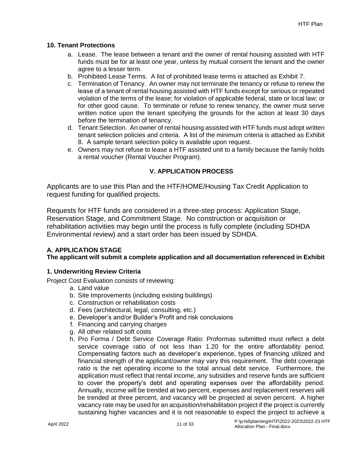#### <span id="page-16-0"></span>**10. Tenant Protections**

- a. Lease. The lease between a tenant and the owner of rental housing assisted with HTF funds must be for at least one year, unless by mutual consent the tenant and the owner agree to a lesser term.
- b. Prohibited Lease Terms. A list of prohibited lease terms is attached as Exhibit 7.
- c. Termination of Tenancy. An owner may not terminate the tenancy or refuse to renew the lease of a tenant of rental housing assisted with HTF funds except for serious or repeated violation of the terms of the lease; for violation of applicable federal, state or local law; or for other good cause. To terminate or refuse to renew tenancy, the owner must serve written notice upon the tenant specifying the grounds for the action at least 30 days before the termination of tenancy.
- d. Tenant Selection. An owner of rental housing assisted with HTF funds must adopt written tenant selection policies and criteria. A list of the minimum criteria is attached as Exhibit 8. A sample tenant selection policy is available upon request.
- e. Owners may not refuse to lease a HTF assisted unit to a family because the family holds a rental voucher (Rental Voucher Program).

## **V. APPLICATION PROCESS**

<span id="page-16-1"></span>Applicants are to use this Plan and the HTF/HOME/Housing Tax Credit Application to request funding for qualified projects.

Requests for HTF funds are considered in a three-step process: Application Stage, Reservation Stage, and Commitment Stage. No construction or acquisition or rehabilitation activities may begin until the process is fully complete (including SDHDA Environmental review) and a start order has been issued by SDHDA.

## <span id="page-16-2"></span>**A. APPLICATION STAGE**

#### **The applicant will submit a complete application and all documentation referenced in Exhibit**

#### <span id="page-16-3"></span>**1. Underwriting Review Criteria**

Project Cost Evaluation consists of reviewing:

- a. Land value
- b. Site Improvements (including existing buildings)
- c. Construction or rehabilitation costs
- d. Fees (architectural, legal, consulting, etc.)
- e. Developer's and/or Builder's Profit and risk conclusions
- f. Financing and carrying charges
- g. All other related soft costs
- h. Pro Forma / Debt Service Coverage Ratio: Proformas submitted must reflect a debt service coverage ratio of not less than 1.20 for the entire affordability period. Compensating factors such as developer's experience, types of financing utilized and financial strength of the applicant/owner may vary this requirement. The debt coverage ratio is the net operating income to the total annual debt service. Furthermore, the application must reflect that rental income, any subsidies and reserve funds are sufficient to cover the property's debt and operating expenses over the affordability period. Annually, income will be trended at two percent, expenses and replacement reserves will be trended at three percent, and vacancy will be projected at seven percent. A higher vacancy rate may be used for an acquisition/rehabilitation project if the project is currently sustaining higher vacancies and it is not reasonable to expect the project to achieve a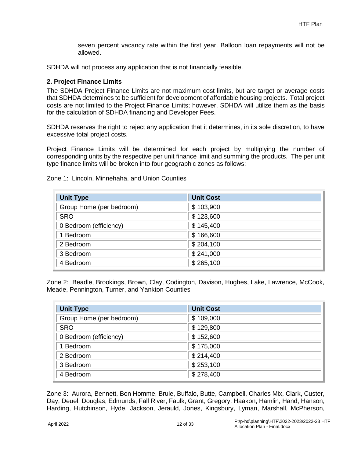seven percent vacancy rate within the first year. Balloon loan repayments will not be allowed.

SDHDA will not process any application that is not financially feasible.

#### <span id="page-17-0"></span>**2. Project Finance Limits**

The SDHDA Project Finance Limits are not maximum cost limits, but are target or average costs that SDHDA determines to be sufficient for development of affordable housing projects. Total project costs are not limited to the Project Finance Limits; however, SDHDA will utilize them as the basis for the calculation of SDHDA financing and Developer Fees.

SDHDA reserves the right to reject any application that it determines, in its sole discretion, to have excessive total project costs.

Project Finance Limits will be determined for each project by multiplying the number of corresponding units by the respective per unit finance limit and summing the products. The per unit type finance limits will be broken into four geographic zones as follows:

| <b>Unit Type</b>         | <b>Unit Cost</b> |
|--------------------------|------------------|
| Group Home (per bedroom) | \$103,900        |
| <b>SRO</b>               | \$123,600        |
| 0 Bedroom (efficiency)   | \$145,400        |
| 1 Bedroom                | \$166,600        |
| 2 Bedroom                | \$204,100        |
| 3 Bedroom                | \$241,000        |
| 4 Bedroom                | \$265,100        |

Zone 1: Lincoln, Minnehaha, and Union Counties

Zone 2: Beadle, Brookings, Brown, Clay, Codington, Davison, Hughes, Lake, Lawrence, McCook, Meade, Pennington, Turner, and Yankton Counties

| <b>Unit Type</b>         | <b>Unit Cost</b> |
|--------------------------|------------------|
| Group Home (per bedroom) | \$109,000        |
| <b>SRO</b>               | \$129,800        |
| 0 Bedroom (efficiency)   | \$152,600        |
| 1 Bedroom                | \$175,000        |
| 2 Bedroom                | \$214,400        |
| 3 Bedroom                | \$253,100        |
| 4 Bedroom                | \$278,400        |

Zone 3: Aurora, Bennett, Bon Homme, Brule, Buffalo, Butte, Campbell, Charles Mix, Clark, Custer, Day, Deuel, Douglas, Edmunds, Fall River, Faulk, Grant, Gregory, Haakon, Hamlin, Hand, Hanson, Harding, Hutchinson, Hyde, Jackson, Jerauld, Jones, Kingsbury, Lyman, Marshall, McPherson,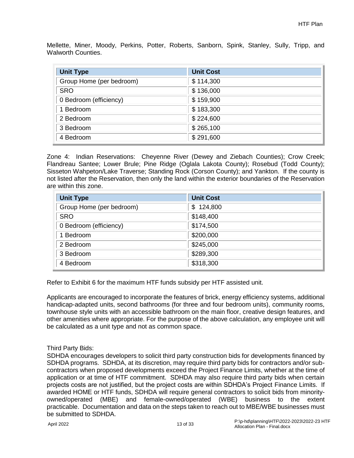Mellette, Miner, Moody, Perkins, Potter, Roberts, Sanborn, Spink, Stanley, Sully, Tripp, and Walworth Counties.

| <b>Unit Type</b>         | <b>Unit Cost</b> |
|--------------------------|------------------|
| Group Home (per bedroom) | \$114,300        |
| <b>SRO</b>               | \$136,000        |
| 0 Bedroom (efficiency)   | \$159,900        |
| 1 Bedroom                | \$183,300        |
| 2 Bedroom                | \$224,600        |
| 3 Bedroom                | \$265,100        |
| 4 Bedroom                | \$291,600        |

Zone 4: Indian Reservations: Cheyenne River (Dewey and Ziebach Counties); Crow Creek; Flandreau Santee; Lower Brule; Pine Ridge (Oglala Lakota County); Rosebud (Todd County); Sisseton Wahpeton/Lake Traverse; Standing Rock (Corson County); and Yankton. If the county is not listed after the Reservation, then only the land within the exterior boundaries of the Reservation are within this zone.

| <b>Unit Type</b>         | <b>Unit Cost</b> |
|--------------------------|------------------|
| Group Home (per bedroom) | \$124,800        |
| <b>SRO</b>               | \$148,400        |
| 0 Bedroom (efficiency)   | \$174,500        |
| 1 Bedroom                | \$200,000        |
| 2 Bedroom                | \$245,000        |
| 3 Bedroom                | \$289,300        |
| 4 Bedroom                | \$318,300        |

Refer to Exhibit 6 for the maximum HTF funds subsidy per HTF assisted unit.

Applicants are encouraged to incorporate the features of brick, energy efficiency systems, additional handicap-adapted units, second bathrooms (for three and four bedroom units), community rooms, townhouse style units with an accessible bathroom on the main floor, creative design features, and other amenities where appropriate. For the purpose of the above calculation, any employee unit will be calculated as a unit type and not as common space.

#### Third Party Bids:

SDHDA encourages developers to solicit third party construction bids for developments financed by SDHDA programs. SDHDA, at its discretion, may require third party bids for contractors and/or subcontractors when proposed developments exceed the Project Finance Limits, whether at the time of application or at time of HTF commitment. SDHDA may also require third party bids when certain projects costs are not justified, but the project costs are within SDHDA's Project Finance Limits. If awarded HOME or HTF funds, SDHDA will require general contractors to solicit bids from minorityowned/operated (MBE) and female-owned/operated (WBE) business to the extent practicable. Documentation and data on the steps taken to reach out to MBE/WBE businesses must be submitted to SDHDA.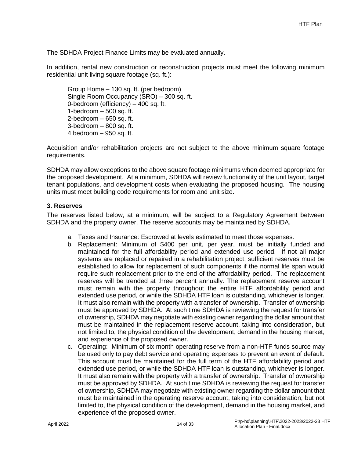The SDHDA Project Finance Limits may be evaluated annually.

In addition, rental new construction or reconstruction projects must meet the following minimum residential unit living square footage (sq. ft.):

Group Home – 130 sq. ft. (per bedroom) Single Room Occupancy (SRO) – 300 sq. ft. 0-bedroom (efficiency) – 400 sq. ft. 1-bedroom  $-500$  sq. ft. 2-bedroom – 650 sq. ft. 3-bedroom – 800 sq. ft. 4 bedroom – 950 sq. ft.

Acquisition and/or rehabilitation projects are not subject to the above minimum square footage requirements.

SDHDA may allow exceptions to the above square footage minimums when deemed appropriate for the proposed development. At a minimum, SDHDA will review functionality of the unit layout, target tenant populations, and development costs when evaluating the proposed housing. The housing units must meet building code requirements for room and unit size.

#### <span id="page-19-0"></span>**3. Reserves**

The reserves listed below, at a minimum, will be subject to a Regulatory Agreement between SDHDA and the property owner. The reserve accounts may be maintained by SDHDA.

- a. Taxes and Insurance: Escrowed at levels estimated to meet those expenses.
- b. Replacement: Minimum of \$400 per unit, per year, must be initially funded and maintained for the full affordability period and extended use period. If not all major systems are replaced or repaired in a rehabilitation project, sufficient reserves must be established to allow for replacement of such components if the normal life span would require such replacement prior to the end of the affordability period. The replacement reserves will be trended at three percent annually. The replacement reserve account must remain with the property throughout the entire HTF affordability period and extended use period, or while the SDHDA HTF loan is outstanding, whichever is longer. It must also remain with the property with a transfer of ownership. Transfer of ownership must be approved by SDHDA. At such time SDHDA is reviewing the request for transfer of ownership, SDHDA may negotiate with existing owner regarding the dollar amount that must be maintained in the replacement reserve account, taking into consideration, but not limited to, the physical condition of the development, demand in the housing market, and experience of the proposed owner.
- c. Operating: Minimum of six month operating reserve from a non-HTF funds source may be used only to pay debt service and operating expenses to prevent an event of default. This account must be maintained for the full term of the HTF affordability period and extended use period, or while the SDHDA HTF loan is outstanding, whichever is longer. It must also remain with the property with a transfer of ownership. Transfer of ownership must be approved by SDHDA. At such time SDHDA is reviewing the request for transfer of ownership, SDHDA may negotiate with existing owner regarding the dollar amount that must be maintained in the operating reserve account, taking into consideration, but not limited to, the physical condition of the development, demand in the housing market, and experience of the proposed owner.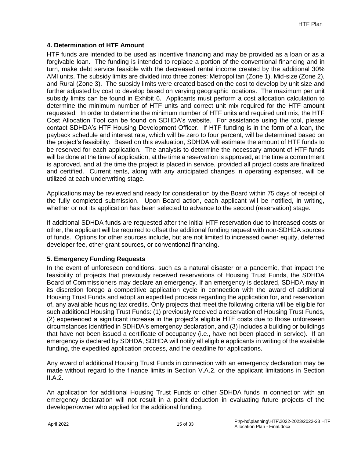#### <span id="page-20-0"></span>**4. Determination of HTF Amount**

HTF funds are intended to be used as incentive financing and may be provided as a loan or as a forgivable loan. The funding is intended to replace a portion of the conventional financing and in turn, make debt service feasible with the decreased rental income created by the additional 30% AMI units. The subsidy limits are divided into three zones: Metropolitan (Zone 1), Mid-size (Zone 2), and Rural (Zone 3). The subsidy limits were created based on the cost to develop by unit size and further adjusted by cost to develop based on varying geographic locations. The maximum per unit subsidy limits can be found in Exhibit 6. Applicants must perform a cost allocation calculation to determine the minimum number of HTF units and correct unit mix required for the HTF amount requested. In order to determine the minimum number of HTF units and required unit mix, the HTF Cost Allocation Tool can be found on SDHDA's website. For assistance using the tool, please contact SDHDA's HTF Housing Development Officer. If HTF funding is in the form of a loan, the payback schedule and interest rate, which will be zero to four percent, will be determined based on the project's feasibility. Based on this evaluation, SDHDA will estimate the amount of HTF funds to be reserved for each application. The analysis to determine the necessary amount of HTF funds will be done at the time of application, at the time a reservation is approved, at the time a commitment is approved, and at the time the project is placed in service, provided all project costs are finalized and certified. Current rents, along with any anticipated changes in operating expenses, will be utilized at each underwriting stage.

Applications may be reviewed and ready for consideration by the Board within 75 days of receipt of the fully completed submission. Upon Board action, each applicant will be notified, in writing, whether or not its application has been selected to advance to the second (reservation) stage.

If additional SDHDA funds are requested after the initial HTF reservation due to increased costs or other, the applicant will be required to offset the additional funding request with non-SDHDA sources of funds. Options for other sources include, but are not limited to increased owner equity, deferred developer fee, other grant sources, or conventional financing.

## <span id="page-20-1"></span>**5. Emergency Funding Requests**

In the event of unforeseen conditions, such as a natural disaster or a pandemic, that impact the feasibility of projects that previously received reservations of Housing Trust Funds, the SDHDA Board of Commissioners may declare an emergency. If an emergency is declared, SDHDA may in its discretion forego a competitive application cycle in connection with the award of additional Housing Trust Funds and adopt an expedited process regarding the application for, and reservation of, any available housing tax credits. Only projects that meet the following criteria will be eligible for such additional Housing Trust Funds: (1) previously received a reservation of Housing Trust Funds, (2) experienced a significant increase in the project's eligible HTF costs due to those unforeseen circumstances identified in SDHDA's emergency declaration, and (3) includes a building or buildings that have not been issued a certificate of occupancy (i.e., have not been placed in service). If an emergency is declared by SDHDA, SDHDA will notify all eligible applicants in writing of the available funding, the expedited application process, and the deadline for applications.

Any award of additional Housing Trust Funds in connection with an emergency declaration may be made without regard to the finance limits in Section V.A.2. or the applicant limitations in Section II.A.2.

An application for additional Housing Trust Funds or other SDHDA funds in connection with an emergency declaration will not result in a point deduction in evaluating future projects of the developer/owner who applied for the additional funding.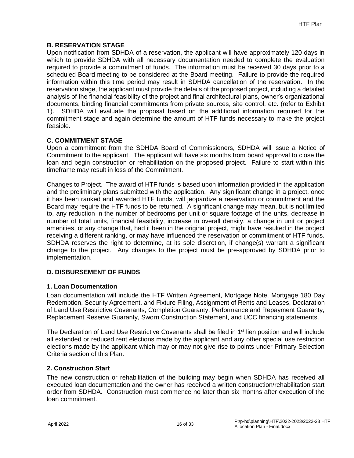## <span id="page-21-0"></span>**B. RESERVATION STAGE**

Upon notification from SDHDA of a reservation, the applicant will have approximately 120 days in which to provide SDHDA with all necessary documentation needed to complete the evaluation required to provide a commitment of funds. The information must be received 30 days prior to a scheduled Board meeting to be considered at the Board meeting. Failure to provide the required information within this time period may result in SDHDA cancellation of the reservation. In the reservation stage, the applicant must provide the details of the proposed project, including a detailed analysis of the financial feasibility of the project and final architectural plans, owner's organizational documents, binding financial commitments from private sources, site control, etc. (refer to Exhibit 1). SDHDA will evaluate the proposal based on the additional information required for the commitment stage and again determine the amount of HTF funds necessary to make the project feasible.

## <span id="page-21-1"></span>**C. COMMITMENT STAGE**

Upon a commitment from the SDHDA Board of Commissioners, SDHDA will issue a Notice of Commitment to the applicant. The applicant will have six months from board approval to close the loan and begin construction or rehabilitation on the proposed project. Failure to start within this timeframe may result in loss of the Commitment.

Changes to Project. The award of HTF funds is based upon information provided in the application and the preliminary plans submitted with the application. Any significant change in a project, once it has been ranked and awarded HTF funds, will jeopardize a reservation or commitment and the Board may require the HTF funds to be returned. A significant change may mean, but is not limited to, any reduction in the number of bedrooms per unit or square footage of the units, decrease in number of total units, financial feasibility, increase in overall density, a change in unit or project amenities, or any change that, had it been in the original project, might have resulted in the project receiving a different ranking, or may have influenced the reservation or commitment of HTF funds. SDHDA reserves the right to determine, at its sole discretion, if change(s) warrant a significant change to the project. Any changes to the project must be pre-approved by SDHDA prior to implementation.

## <span id="page-21-3"></span><span id="page-21-2"></span>**D. DISBURSEMENT OF FUNDS**

## **1. Loan Documentation**

Loan documentation will include the HTF Written Agreement, Mortgage Note, Mortgage 180 Day Redemption, Security Agreement, and Fixture Filing, Assignment of Rents and Leases, Declaration of Land Use Restrictive Covenants, Completion Guaranty, Performance and Repayment Guaranty, Replacement Reserve Guaranty, Sworn Construction Statement, and UCC financing statements.

The Declaration of Land Use Restrictive Covenants shall be filed in 1<sup>st</sup> lien position and will include all extended or reduced rent elections made by the applicant and any other special use restriction elections made by the applicant which may or may not give rise to points under Primary Selection Criteria section of this Plan.

#### <span id="page-21-4"></span>**2. Construction Start**

The new construction or rehabilitation of the building may begin when SDHDA has received all executed loan documentation and the owner has received a written construction/rehabilitation start order from SDHDA. Construction must commence no later than six months after execution of the loan commitment.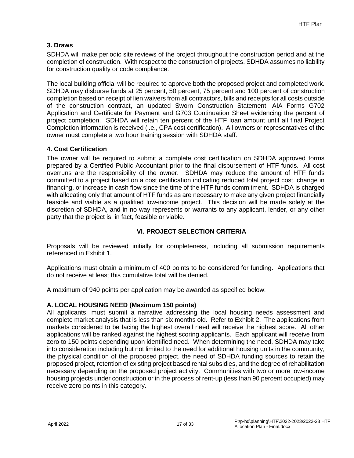#### <span id="page-22-0"></span>**3. Draws**

SDHDA will make periodic site reviews of the project throughout the construction period and at the completion of construction. With respect to the construction of projects, SDHDA assumes no liability for construction quality or code compliance.

The local building official will be required to approve both the proposed project and completed work. SDHDA may disburse funds at 25 percent, 50 percent, 75 percent and 100 percent of construction completion based on receipt of lien waivers from all contractors, bills and receipts for all costs outside of the construction contract, an updated Sworn Construction Statement, AIA Forms G702 Application and Certificate for Payment and G703 Continuation Sheet evidencing the percent of project completion. SDHDA will retain ten percent of the HTF loan amount until all final Project Completion information is received (i.e., CPA cost certification). All owners or representatives of the owner must complete a two hour training session with SDHDA staff.

#### <span id="page-22-1"></span>**4. Cost Certification**

The owner will be required to submit a complete cost certification on SDHDA approved forms prepared by a Certified Public Accountant prior to the final disbursement of HTF funds. All cost overruns are the responsibility of the owner. SDHDA may reduce the amount of HTF funds committed to a project based on a cost certification indicating reduced total project cost, change in financing, or increase in cash flow since the time of the HTF funds commitment. SDHDA is charged with allocating only that amount of HTF funds as are necessary to make any given project financially feasible and viable as a qualified low-income project. This decision will be made solely at the discretion of SDHDA, and in no way represents or warrants to any applicant, lender, or any other party that the project is, in fact, feasible or viable.

## **VI. PROJECT SELECTION CRITERIA**

<span id="page-22-2"></span>Proposals will be reviewed initially for completeness, including all submission requirements referenced in Exhibit 1.

Applications must obtain a minimum of 400 points to be considered for funding. Applications that do not receive at least this cumulative total will be denied.

A maximum of 940 points per application may be awarded as specified below:

#### <span id="page-22-3"></span>**A. LOCAL HOUSING NEED (Maximum 150 points)**

All applicants, must submit a narrative addressing the local housing needs assessment and complete market analysis that is less than six months old. Refer to Exhibit 2. The applications from markets considered to be facing the highest overall need will receive the highest score. All other applications will be ranked against the highest scoring applicants. Each applicant will receive from zero to 150 points depending upon identified need. When determining the need, SDHDA may take into consideration including but not limited to the need for additional housing units in the community, the physical condition of the proposed project, the need of SDHDA funding sources to retain the proposed project, retention of existing project based rental subsidies, and the degree of rehabilitation necessary depending on the proposed project activity. Communities with two or more low-income housing projects under construction or in the process of rent-up (less than 90 percent occupied) may receive zero points in this category.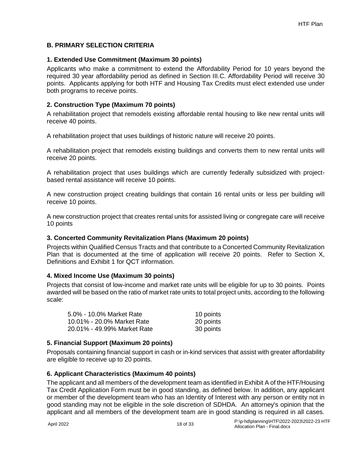## <span id="page-23-1"></span><span id="page-23-0"></span>**B. PRIMARY SELECTION CRITERIA**

#### **1. Extended Use Commitment (Maximum 30 points)**

Applicants who make a commitment to extend the Affordability Period for 10 years beyond the required 30 year affordability period as defined in Section III.C. Affordability Period will receive 30 points. Applicants applying for both HTF and Housing Tax Credits must elect extended use under both programs to receive points.

#### <span id="page-23-2"></span>**2. Construction Type (Maximum 70 points)**

A rehabilitation project that remodels existing affordable rental housing to like new rental units will receive 40 points.

A rehabilitation project that uses buildings of historic nature will receive 20 points.

A rehabilitation project that remodels existing buildings and converts them to new rental units will receive 20 points.

A rehabilitation project that uses buildings which are currently federally subsidized with projectbased rental assistance will receive 10 points.

A new construction project creating buildings that contain 16 rental units or less per building will receive 10 points.

A new construction project that creates rental units for assisted living or congregate care will receive 10 points

#### <span id="page-23-3"></span>**3. Concerted Community Revitalization Plans (Maximum 20 points)**

Projects within Qualified Census Tracts and that contribute to a Concerted Community Revitalization Plan that is documented at the time of application will receive 20 points. Refer to Section X, Definitions and Exhibit 1 for QCT information.

#### <span id="page-23-4"></span>**4. Mixed Income Use (Maximum 30 points)**

Projects that consist of low-income and market rate units will be eligible for up to 30 points. Points awarded will be based on the ratio of market rate units to total project units, according to the following scale:

5.0% - 10.0% Market Rate 10 points 10.01% - 20.0% Market Rate 20 points 20.01% - 49.99% Market Rate 30 points

#### <span id="page-23-5"></span>**5. Financial Support (Maximum 20 points)**

Proposals containing financial support in cash or in-kind services that assist with greater affordability are eligible to receive up to 20 points.

#### <span id="page-23-6"></span>**6. Applicant Characteristics (Maximum 40 points)**

The applicant and all members of the development team as identified in Exhibit A of the HTF/Housing Tax Credit Application Form must be in good standing, as defined below. In addition, any applicant or member of the development team who has an Identity of Interest with any person or entity not in good standing may not be eligible in the sole discretion of SDHDA. An attorney's opinion that the applicant and all members of the development team are in good standing is required in all cases.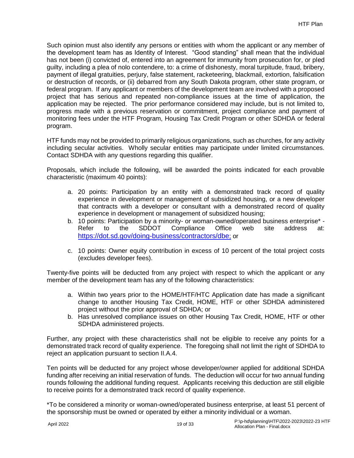Such opinion must also identify any persons or entities with whom the applicant or any member of the development team has as Identity of Interest. "Good standing" shall mean that the individual has not been (i) convicted of, entered into an agreement for immunity from prosecution for, or pled guilty, including a plea of nolo contendere, to: a crime of dishonesty, moral turpitude, fraud, bribery, payment of illegal gratuities, perjury, false statement, racketeering, blackmail, extortion, falsification or destruction of records, or (ii) debarred from any South Dakota program, other state program, or federal program. If any applicant or members of the development team are involved with a proposed project that has serious and repeated non-compliance issues at the time of application, the application may be rejected. The prior performance considered may include, but is not limited to, progress made with a previous reservation or commitment, project compliance and payment of monitoring fees under the HTF Program, Housing Tax Credit Program or other SDHDA or federal program.

HTF funds may not be provided to primarily religious organizations, such as churches, for any activity including secular activities. Wholly secular entities may participate under limited circumstances. Contact SDHDA with any questions regarding this qualifier.

Proposals, which include the following, will be awarded the points indicated for each provable characteristic (maximum 40 points):

- a. 20 points: Participation by an entity with a demonstrated track record of quality experience in development or management of subsidized housing, or a new developer that contracts with a developer or consultant with a demonstrated record of quality experience in development or management of subsidized housing;
- b. 10 points: Participation by a minority- or woman-owned/operated business enterprise\* Refer to the SDDOT Compliance Office web site address at: https://dot.sd.gov/doing-business/contractors/dbe; or
- c. 10 points: Owner equity contribution in excess of 10 percent of the total project costs (excludes developer fees).

Twenty-five points will be deducted from any project with respect to which the applicant or any member of the development team has any of the following characteristics:

- a. Within two years prior to the HOME/HTF/HTC Application date has made a significant change to another Housing Tax Credit, HOME, HTF or other SDHDA administered project without the prior approval of SDHDA; or
- b. Has unresolved compliance issues on other Housing Tax Credit, HOME, HTF or other SDHDA administered projects.

Further, any project with these characteristics shall not be eligible to receive any points for a demonstrated track record of quality experience. The foregoing shall not limit the right of SDHDA to reject an application pursuant to section II.A.4.

Ten points will be deducted for any project whose developer/owner applied for additional SDHDA funding after receiving an initial reservation of funds. The deduction will occur for two annual funding rounds following the additional funding request. Applicants receiving this deduction are still eligible to receive points for a demonstrated track record of quality experience.

\*To be considered a minority or woman-owned/operated business enterprise, at least 51 percent of the sponsorship must be owned or operated by either a minority individual or a woman.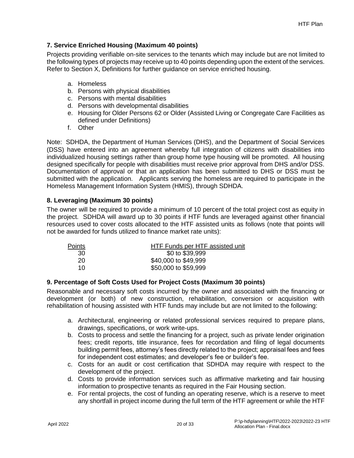## <span id="page-25-0"></span>**7. Service Enriched Housing (Maximum 40 points)**

Projects providing verifiable on-site services to the tenants which may include but are not limited to the following types of projects may receive up to 40 points depending upon the extent of the services. Refer to Section X, Definitions for further guidance on service enriched housing.

- a. Homeless
- b. Persons with physical disabilities
- c. Persons with mental disabilities
- d. Persons with developmental disabilities
- e. Housing for Older Persons 62 or Older (Assisted Living or Congregate Care Facilities as defined under Definitions)
- f. Other

Note: SDHDA, the Department of Human Services (DHS), and the Department of Social Services (DSS) have entered into an agreement whereby full integration of citizens with disabilities into individualized housing settings rather than group home type housing will be promoted. All housing designed specifically for people with disabilities must receive prior approval from DHS and/or DSS. Documentation of approval or that an application has been submitted to DHS or DSS must be submitted with the application. Applicants serving the homeless are required to participate in the Homeless Management Information System (HMIS), through SDHDA.

## <span id="page-25-1"></span>**8. Leveraging (Maximum 30 points)**

The owner will be required to provide a minimum of 10 percent of the total project cost as equity in the project. SDHDA will award up to 30 points if HTF funds are leveraged against other financial resources used to cover costs allocated to the HTF assisted units as follows (note that points will not be awarded for funds utilized to finance market rate units):

| <b>Points</b> | HTF Funds per HTF assisted unit |
|---------------|---------------------------------|
| 30            | \$0 to \$39,999                 |
| 20            | \$40,000 to \$49,999            |
| 10            | \$50,000 to \$59,999            |

## <span id="page-25-2"></span>**9. Percentage of Soft Costs Used for Project Costs (Maximum 30 points)**

Reasonable and necessary soft costs incurred by the owner and associated with the financing or development (or both) of new construction, rehabilitation, conversion or acquisition with rehabilitation of housing assisted with HTF funds may include but are not limited to the following:

- a. Architectural, engineering or related professional services required to prepare plans, drawings, specifications, or work write-ups.
- b. Costs to process and settle the financing for a project, such as private lender origination fees; credit reports, title insurance, fees for recordation and filing of legal documents building permit fees, attorney's fees directly related to the project; appraisal fees and fees for independent cost estimates; and developer's fee or builder's fee.
- c. Costs for an audit or cost certification that SDHDA may require with respect to the development of the project.
- d. Costs to provide information services such as affirmative marketing and fair housing information to prospective tenants as required in the Fair Housing section.
- e. For rental projects, the cost of funding an operating reserve, which is a reserve to meet any shortfall in project income during the full term of the HTF agreement or while the HTF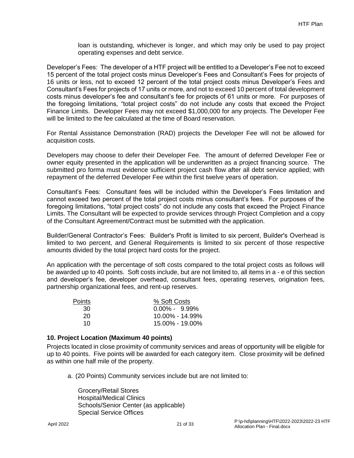loan is outstanding, whichever is longer, and which may only be used to pay project operating expenses and debt service.

Developer's Fees: The developer of a HTF project will be entitled to a Developer's Fee not to exceed 15 percent of the total project costs minus Developer's Fees and Consultant's Fees for projects of 16 units or less, not to exceed 12 percent of the total project costs minus Developer's Fees and Consultant's Fees for projects of 17 units or more, and not to exceed 10 percent of total development costs minus developer's fee and consultant's fee for projects of 61 units or more. For purposes of the foregoing limitations, "total project costs" do not include any costs that exceed the Project Finance Limits. Developer Fees may not exceed \$1,000,000 for any projects. The Developer Fee will be limited to the fee calculated at the time of Board reservation.

For Rental Assistance Demonstration (RAD) projects the Developer Fee will not be allowed for acquisition costs.

Developers may choose to defer their Developer Fee. The amount of deferred Developer Fee or owner equity presented in the application will be underwritten as a project financing source. The submitted pro forma must evidence sufficient project cash flow after all debt service applied; with repayment of the deferred Developer Fee within the first twelve years of operation.

Consultant's Fees: Consultant fees will be included within the Developer's Fees limitation and cannot exceed two percent of the total project costs minus consultant's fees. For purposes of the foregoing limitations, "total project costs" do not include any costs that exceed the Project Finance Limits. The Consultant will be expected to provide services through Project Completion and a copy of the Consultant Agreement/Contract must be submitted with the application.

Builder/General Contractor's Fees: Builder's Profit is limited to six percent, Builder's Overhead is limited to two percent, and General Requirements is limited to six percent of those respective amounts divided by the total project hard costs for the project.

An application with the percentage of soft costs compared to the total project costs as follows will be awarded up to 40 points. Soft costs include, but are not limited to, all items in a - e of this section and developer's fee, developer overhead, consultant fees, operating reserves, origination fees, partnership organizational fees, and rent-up reserves.

| <b>Points</b> | % Soft Costs      |
|---------------|-------------------|
| 30            | $0.00\% - 9.99\%$ |
| 20            | 10.00% - 14.99%   |
| 10            | 15.00% - 19.00%   |

#### <span id="page-26-0"></span>**10. Project Location (Maximum 40 points)**

Projects located in close proximity of community services and areas of opportunity will be eligible for up to 40 points. Five points will be awarded for each category item. Close proximity will be defined as within one half mile of the property.

a. (20 Points) Community services include but are not limited to:

Grocery/Retail Stores Hospital/Medical Clinics Schools/Senior Center (as applicable) Special Service Offices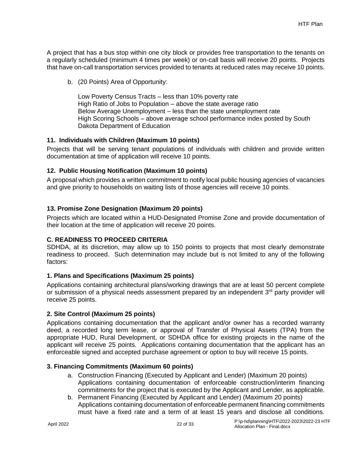A project that has a bus stop within one city block or provides free transportation to the tenants on a regularly scheduled (minimum 4 times per week) or on-call basis will receive 20 points. Projects that have on-call transportation services provided to tenants at reduced rates may receive 10 points.

b. (20 Points) Area of Opportunity:

Low Poverty Census Tracts – less than 10% poverty rate High Ratio of Jobs to Population – above the state average ratio Below Average Unemployment – less than the state unemployment rate High Scoring Schools – above average school performance index posted by South Dakota Department of Education

## <span id="page-27-0"></span>**11. Individuals with Children (Maximum 10 points)**

Projects that will be serving tenant populations of individuals with children and provide written documentation at time of application will receive 10 points.

## <span id="page-27-1"></span>**12. Public Housing Notification (Maximum 10 points)**

A proposal which provides a written commitment to notify local public housing agencies of vacancies and give priority to households on waiting lists of those agencies will receive 10 points.

## <span id="page-27-2"></span>**13. Promise Zone Designation (Maximum 20 points)**

Projects which are located within a HUD-Designated Promise Zone and provide documentation of their location at the time of application will receive 20 points.

## <span id="page-27-3"></span>**C. READINESS TO PROCEED CRITERIA**

SDHDA, at its discretion, may allow up to 150 points to projects that most clearly demonstrate readiness to proceed. Such determination may include but is not limited to any of the following factors:

## <span id="page-27-4"></span>**1. Plans and Specifications (Maximum 25 points)**

Applications containing architectural plans/working drawings that are at least 50 percent complete or submission of a physical needs assessment prepared by an independent  $3<sup>rd</sup>$  party provider will receive 25 points.

## <span id="page-27-5"></span>**2. Site Control (Maximum 25 points)**

Applications containing documentation that the applicant and/or owner has a recorded warranty deed, a recorded long term lease, or approval of Transfer of Physical Assets (TPA) from the appropriate HUD, Rural Development, or SDHDA office for existing projects in the name of the applicant will receive 25 points. Applications containing documentation that the applicant has an enforceable signed and accepted purchase agreement or option to buy will receive 15 points.

## <span id="page-27-6"></span>**3. Financing Commitments (Maximum 60 points)**

- a. Construction Financing (Executed by Applicant and Lender) (Maximum 20 points) Applications containing documentation of enforceable construction/interim financing commitments for the project that is executed by the Applicant and Lender, as applicable.
- b. Permanent Financing (Executed by Applicant and Lender) (Maximum 20 points) Applications containing documentation of enforceable permanent financing commitments must have a fixed rate and a term of at least 15 years and disclose all conditions.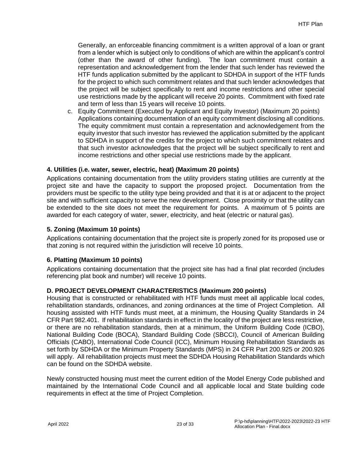Generally, an enforceable financing commitment is a written approval of a loan or grant from a lender which is subject only to conditions of which are within the applicant's control (other than the award of other funding). The loan commitment must contain a representation and acknowledgement from the lender that such lender has reviewed the HTF funds application submitted by the applicant to SDHDA in support of the HTF funds for the project to which such commitment relates and that such lender acknowledges that the project will be subject specifically to rent and income restrictions and other special use restrictions made by the applicant will receive 20 points. Commitment with fixed rate and term of less than 15 years will receive 10 points.

c. Equity Commitment (Executed by Applicant and Equity Investor) (Maximum 20 points) Applications containing documentation of an equity commitment disclosing all conditions. The equity commitment must contain a representation and acknowledgement from the equity investor that such investor has reviewed the application submitted by the applicant to SDHDA in support of the credits for the project to which such commitment relates and that such investor acknowledges that the project will be subject specifically to rent and income restrictions and other special use restrictions made by the applicant.

## <span id="page-28-0"></span>**4. Utilities (i.e. water, sewer, electric, heat) (Maximum 20 points)**

Applications containing documentation from the utility providers stating utilities are currently at the project site and have the capacity to support the proposed project. Documentation from the providers must be specific to the utility type being provided and that it is at or adjacent to the project site and with sufficient capacity to serve the new development. Close proximity or that the utility can be extended to the site does not meet the requirement for points. A maximum of 5 points are awarded for each category of water, sewer, electricity, and heat (electric or natural gas).

#### <span id="page-28-1"></span>**5. Zoning (Maximum 10 points)**

Applications containing documentation that the project site is properly zoned for its proposed use or that zoning is not required within the jurisdiction will receive 10 points.

## <span id="page-28-2"></span>**6. Platting (Maximum 10 points)**

Applications containing documentation that the project site has had a final plat recorded (includes referencing plat book and number) will receive 10 points.

## <span id="page-28-3"></span>**D. PROJECT DEVELOPMENT CHARACTERISTICS (Maximum 200 points)**

Housing that is constructed or rehabilitated with HTF funds must meet all applicable local codes, rehabilitation standards, ordinances, and zoning ordinances at the time of Project Completion. All housing assisted with HTF funds must meet, at a minimum, the Housing Quality Standards in 24 CFR Part 982.401. If rehabilitation standards in effect in the locality of the project are less restrictive, or there are no rehabilitation standards, then at a minimum, the Uniform Building Code (ICBO), National Building Code (BOCA), Standard Building Code (SBCCI), Council of American Building Officials (CABO), International Code Council (ICC), Minimum Housing Rehabilitation Standards as set forth by SDHDA or the Minimum Property Standards (MPS) in 24 CFR Part 200.925 or 200.926 will apply. All rehabilitation projects must meet the SDHDA Housing Rehabilitation Standards which can be found on the SDHDA website.

Newly constructed housing must meet the current edition of the Model Energy Code published and maintained by the International Code Council and all applicable local and State building code requirements in effect at the time of Project Completion.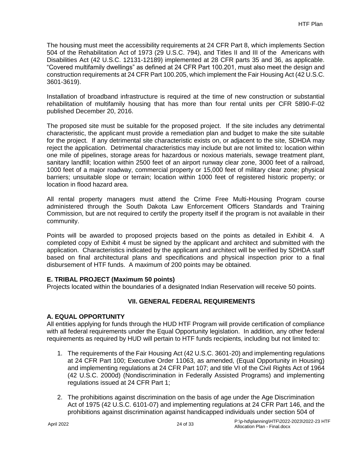The housing must meet the accessibility requirements at 24 CFR Part 8, which implements Section 504 of the Rehabilitation Act of 1973 (29 U.S.C. 794), and Titles II and III of the Americans with Disabilities Act (42 U.S.C. 12131-12189) implemented at 28 CFR parts 35 and 36, as applicable. "Covered multifamily dwellings" as defined at 24 CFR Part 100.201, must also meet the design and construction requirements at 24 CFR Part 100.205, which implement the Fair Housing Act (42 U.S.C. 3601-3619).

Installation of broadband infrastructure is required at the time of new construction or substantial rehabilitation of multifamily housing that has more than four rental units per CFR 5890-F-02 published December 20, 2016.

The proposed site must be suitable for the proposed project. If the site includes any detrimental characteristic, the applicant must provide a remediation plan and budget to make the site suitable for the project. If any detrimental site characteristic exists on, or adjacent to the site, SDHDA may reject the application. Detrimental characteristics may include but are not limited to: location within one mile of pipelines, storage areas for hazardous or noxious materials, sewage treatment plant, sanitary landfill; location within 2500 feet of an airport runway clear zone, 3000 feet of a railroad, 1000 feet of a major roadway, commercial property or 15,000 feet of military clear zone; physical barriers; unsuitable slope or terrain; location within 1000 feet of registered historic property; or location in flood hazard area.

All rental property managers must attend the Crime Free Multi-Housing Program course administered through the South Dakota Law Enforcement Officers Standards and Training Commission, but are not required to certify the property itself if the program is not available in their community.

Points will be awarded to proposed projects based on the points as detailed in Exhibit 4. A completed copy of Exhibit 4 must be signed by the applicant and architect and submitted with the application. Characteristics indicated by the applicant and architect will be verified by SDHDA staff based on final architectural plans and specifications and physical inspection prior to a final disbursement of HTF funds. A maximum of 200 points may be obtained.

## <span id="page-29-0"></span>**E. TRIBAL PROJECT (Maximum 50 points)**

<span id="page-29-1"></span>Projects located within the boundaries of a designated Indian Reservation will receive 50 points.

## **VII. GENERAL FEDERAL REQUIREMENTS**

#### <span id="page-29-2"></span>**A. EQUAL OPPORTUNITY**

All entities applying for funds through the HUD HTF Program will provide certification of compliance with all federal requirements under the Equal Opportunity legislation. In addition, any other federal requirements as required by HUD will pertain to HTF funds recipients, including but not limited to:

- 1. The requirements of the Fair Housing Act (42 U.S.C. 3601-20) and implementing regulations at 24 CFR Part 100; Executive Order 11063, as amended, (Equal Opportunity in Housing) and implementing regulations at 24 CFR Part 107; and title VI of the Civil Rights Act of 1964 (42 U.S.C. 2000d) (Nondiscrimination in Federally Assisted Programs) and implementing regulations issued at 24 CFR Part 1;
- 2. The prohibitions against discrimination on the basis of age under the Age Discrimination Act of 1975 (42 U.S.C. 6101-07) and implementing regulations at 24 CFR Part 146, and the prohibitions against discrimination against handicapped individuals under section 504 of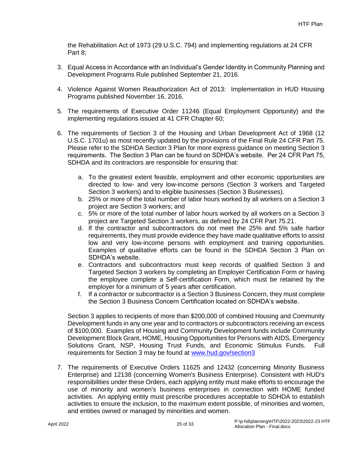the Rehabilitation Act of 1973 (29 U.S.C. 794) and implementing regulations at 24 CFR Part 8;

- 3. Equal Access in Accordance with an Individual's Gender Identity in Community Planning and Development Programs Rule published September 21, 2016.
- 4. Violence Against Women Reauthorization Act of 2013: Implementation in HUD Housing Programs published November 16, 2016.
- 5. The requirements of Executive Order 11246 (Equal Employment Opportunity) and the implementing regulations issued at 41 CFR Chapter 60;
- 6. The requirements of Section 3 of the Housing and Urban Development Act of 1968 (12 U.S.C. 1701u) as most recently updated by the provisions of the Final Rule 24 CFR Part 75. Please refer to the SDHDA Section 3 Plan for more express guidance on meeting Section 3 requirements. The Section 3 Plan can be found on SDHDA's website. Per 24 CFR Part 75, SDHDA and its contractors are responsible for ensuring that:
	- a. To the greatest extent feasible, employment and other economic opportunities are directed to low- and very low-income persons (Section 3 workers and Targeted Section 3 workers) and to eligible businesses (Section 3 Businesses).
	- b. 25% or more of the total number of labor hours worked by all workers on a Section 3 project are Section 3 workers; and
	- c. 5% or more of the total number of labor hours worked by all workers on a Section 3 project are Targeted Section 3 workers, as defined by 24 CFR Part 75.21.
	- d. If the contractor and subcontractors do not meet the 25% and 5% safe harbor requirements, they must provide evidence they have made qualitative efforts to assist low and very low-income persons with employment and training opportunities. Examples of qualitative efforts can be found in the SDHDA Section 3 Plan on SDHDA's website.
	- e. Contractors and subcontractors must keep records of qualified Section 3 and Targeted Section 3 workers by completing an Employer Certification Form or having the employee complete a Self-certification Form, which must be retained by the employer for a minimum of 5 years after certification.
	- f. If a contractor or subcontractor is a Section 3 Business Concern, they must complete the Section 3 Business Concern Certification located on SDHDA's website.

Section 3 applies to recipients of more than \$200,000 of combined Housing and Community Development funds in any one year and to contractors or subcontractors receiving an excess of \$100,000. Examples of Housing and Community Development funds include Community Development Block Grant, HOME, Housing Opportunities for Persons with AIDS, Emergency Solutions Grant, NSP, Housing Trust Funds, and Economic Stimulus Funds. Full requirements for Section 3 may be found at [www.hud.gov/section3](http://www.hud.gov/section3)

7. The requirements of Executive Orders 11625 and 12432 (concerning Minority Business Enterprise) and 12138 (concerning Women's Business Enterprise). Consistent with HUD's responsibilities under these Orders, each applying entity must make efforts to encourage the use of minority and women's business enterprises in connection with HOME funded activities. An applying entity must prescribe procedures acceptable to SDHDA to establish activities to ensure the inclusion, to the maximum extent possible, of minorities and women, and entities owned or managed by minorities and women.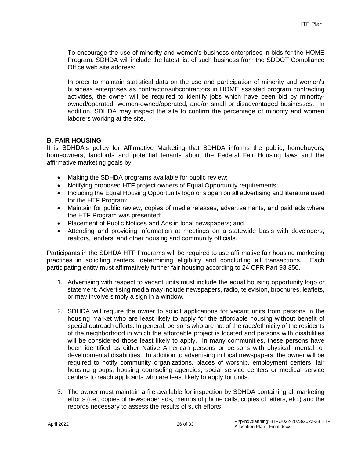To encourage the use of minority and women's business enterprises in bids for the HOME Program, SDHDA will include the latest list of such business from the SDDOT Compliance Office web site address:

In order to maintain statistical data on the use and participation of minority and women's business enterprises as contractor/subcontractors in HOME assisted program contracting activities, the owner will be required to identify jobs which have been bid by minorityowned/operated, women-owned/operated, and/or small or disadvantaged businesses. In addition, SDHDA may inspect the site to confirm the percentage of minority and women laborers working at the site.

## <span id="page-31-0"></span>**B. FAIR HOUSING**

It is SDHDA's policy for Affirmative Marketing that SDHDA informs the public, homebuyers, homeowners, landlords and potential tenants about the Federal Fair Housing laws and the affirmative marketing goals by:

- Making the SDHDA programs available for public review;
- Notifying proposed HTF project owners of Equal Opportunity requirements;
- Including the Equal Housing Opportunity logo or slogan on all advertising and literature used for the HTF Program;
- Maintain for public review, copies of media releases, advertisements, and paid ads where the HTF Program was presented;
- Placement of Public Notices and Ads in local newspapers; and
- Attending and providing information at meetings on a statewide basis with developers, realtors, lenders, and other housing and community officials.

Participants in the SDHDA HTF Programs will be required to use affirmative fair housing marketing practices in soliciting renters, determining eligibility and concluding all transactions. Each participating entity must affirmatively further fair housing according to 24 CFR Part 93.350.

- 1. Advertising with respect to vacant units must include the equal housing opportunity logo or statement. Advertising media may include newspapers, radio, television, brochures, leaflets, or may involve simply a sign in a window.
- 2. SDHDA will require the owner to solicit applications for vacant units from persons in the housing market who are least likely to apply for the affordable housing without benefit of special outreach efforts. In general, persons who are not of the race/ethnicity of the residents of the neighborhood in which the affordable project is located and persons with disabilities will be considered those least likely to apply. In many communities, these persons have been identified as either Native American persons or persons with physical, mental, or developmental disabilities. In addition to advertising in local newspapers, the owner will be required to notify community organizations, places of worship, employment centers, fair housing groups, housing counseling agencies, social service centers or medical service centers to reach applicants who are least likely to apply for units.
- 3. The owner must maintain a file available for inspection by SDHDA containing all marketing efforts (i.e., copies of newspaper ads, memos of phone calls, copies of letters, etc.) and the records necessary to assess the results of such efforts.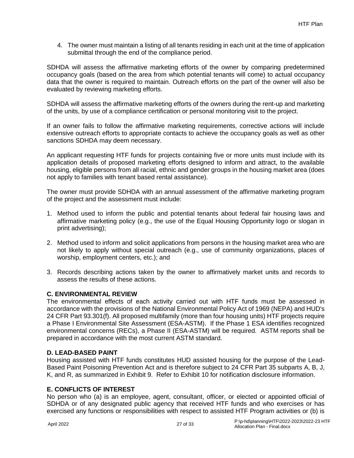4. The owner must maintain a listing of all tenants residing in each unit at the time of application submittal through the end of the compliance period.

SDHDA will assess the affirmative marketing efforts of the owner by comparing predetermined occupancy goals (based on the area from which potential tenants will come) to actual occupancy data that the owner is required to maintain. Outreach efforts on the part of the owner will also be evaluated by reviewing marketing efforts.

SDHDA will assess the affirmative marketing efforts of the owners during the rent-up and marketing of the units, by use of a compliance certification or personal monitoring visit to the project.

If an owner fails to follow the affirmative marketing requirements, corrective actions will include extensive outreach efforts to appropriate contacts to achieve the occupancy goals as well as other sanctions SDHDA may deem necessary.

An applicant requesting HTF funds for projects containing five or more units must include with its application details of proposed marketing efforts designed to inform and attract, to the available housing, eligible persons from all racial, ethnic and gender groups in the housing market area (does not apply to families with tenant based rental assistance).

The owner must provide SDHDA with an annual assessment of the affirmative marketing program of the project and the assessment must include:

- 1. Method used to inform the public and potential tenants about federal fair housing laws and affirmative marketing policy (e.g., the use of the Equal Housing Opportunity logo or slogan in print advertising);
- 2. Method used to inform and solicit applications from persons in the housing market area who are not likely to apply without special outreach (e.g., use of community organizations, places of worship, employment centers, etc.); and
- 3. Records describing actions taken by the owner to affirmatively market units and records to assess the results of these actions.

#### <span id="page-32-0"></span>**C. ENVIRONMENTAL REVIEW**

The environmental effects of each activity carried out with HTF funds must be assessed in accordance with the provisions of the National Environmental Policy Act of 1969 (NEPA) and HUD's 24 CFR Part 93.301(f). All proposed multifamily (more than four housing units) HTF projects require a Phase I Environmental Site Assessment (ESA-ASTM). If the Phase 1 ESA identifies recognized environmental concerns (RECs), a Phase II (ESA-ASTM) will be required. ASTM reports shall be prepared in accordance with the most current ASTM standard.

#### <span id="page-32-1"></span>**D. LEAD-BASED PAINT**

Housing assisted with HTF funds constitutes HUD assisted housing for the purpose of the Lead-Based Paint Poisoning Prevention Act and is therefore subject to 24 CFR Part 35 subparts A, B, J, K, and R, as summarized in Exhibit 9. Refer to Exhibit 10 for notification disclosure information.

## <span id="page-32-2"></span>**E. CONFLICTS OF INTEREST**

No person who (a) is an employee, agent, consultant, officer, or elected or appointed official of SDHDA or of any designated public agency that received HTF funds and who exercises or has exercised any functions or responsibilities with respect to assisted HTF Program activities or (b) is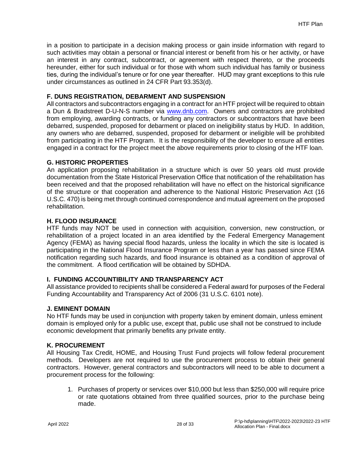in a position to participate in a decision making process or gain inside information with regard to such activities may obtain a personal or financial interest or benefit from his or her activity, or have an interest in any contract, subcontract, or agreement with respect thereto, or the proceeds hereunder, either for such individual or for those with whom such individual has family or business ties, during the individual's tenure or for one year thereafter. HUD may grant exceptions to this rule under circumstances as outlined in 24 CFR Part 93.353(d).

## <span id="page-33-0"></span>**F. DUNS REGISTRATION, DEBARMENT AND SUSPENSION**

All contractors and subcontractors engaging in a contract for an HTF project will be required to obtain a Dun & Bradstreet D-U-N-S number via [www.dnb.com.](http://www.dnb.com/) Owners and contractors are prohibited from employing, awarding contracts, or funding any contractors or subcontractors that have been debarred, suspended, proposed for debarment or placed on ineligibility status by HUD. In addition, any owners who are debarred, suspended, proposed for debarment or ineligible will be prohibited from participating in the HTF Program. It is the responsibility of the developer to ensure all entities engaged in a contract for the project meet the above requirements prior to closing of the HTF loan.

#### <span id="page-33-1"></span>**G. HISTORIC PROPERTIES**

An application proposing rehabilitation in a structure which is over 50 years old must provide documentation from the State Historical Preservation Office that notification of the rehabilitation has been received and that the proposed rehabilitation will have no effect on the historical significance of the structure or that cooperation and adherence to the National Historic Preservation Act (16 U.S.C. 470) is being met through continued correspondence and mutual agreement on the proposed rehabilitation.

#### <span id="page-33-2"></span>**H. FLOOD INSURANCE**

HTF funds may NOT be used in connection with acquisition, conversion, new construction, or rehabilitation of a project located in an area identified by the Federal Emergency Management Agency (FEMA) as having special flood hazards, unless the locality in which the site is located is participating in the National Flood Insurance Program or less than a year has passed since FEMA notification regarding such hazards, and flood insurance is obtained as a condition of approval of the commitment. A flood certification will be obtained by SDHDA.

## <span id="page-33-3"></span>**I. FUNDING ACCOUNTIBILITY AND TRANSPARENCY ACT**

All assistance provided to recipients shall be considered a Federal award for purposes of the Federal Funding Accountability and Transparency Act of 2006 (31 U.S.C. 6101 note).

#### <span id="page-33-4"></span>**J. EMINENT DOMAIN**

No HTF funds may be used in conjunction with property taken by eminent domain, unless eminent domain is employed only for a public use, except that, public use shall not be construed to include economic development that primarily benefits any private entity.

#### <span id="page-33-5"></span>**K. PROCUREMENT**

All Housing Tax Credit, HOME, and Housing Trust Fund projects will follow federal procurement methods. Developers are not required to use the procurement process to obtain their general contractors. However, general contractors and subcontractors will need to be able to document a procurement process for the following:

1. Purchases of property or services over \$10,000 but less than \$250,000 will require price or rate quotations obtained from three qualified sources, prior to the purchase being made.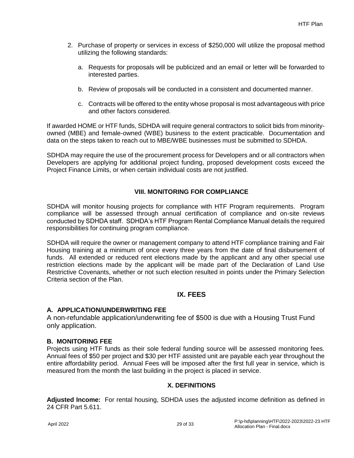- 2. Purchase of property or services in excess of \$250,000 will utilize the proposal method utilizing the following standards:
	- a. Requests for proposals will be publicized and an email or letter will be forwarded to interested parties.
	- b. Review of proposals will be conducted in a consistent and documented manner.
	- c. Contracts will be offered to the entity whose proposal is most advantageous with price and other factors considered.

If awarded HOME or HTF funds, SDHDA will require general contractors to solicit bids from minorityowned (MBE) and female-owned (WBE) business to the extent practicable. Documentation and data on the steps taken to reach out to MBE/WBE businesses must be submitted to SDHDA.

SDHDA may require the use of the procurement process for Developers and or all contractors when Developers are applying for additional project funding, proposed development costs exceed the Project Finance Limits, or when certain individual costs are not justified.

## **VIII. MONITORING FOR COMPLIANCE**

<span id="page-34-0"></span>SDHDA will monitor housing projects for compliance with HTF Program requirements. Program compliance will be assessed through annual certification of compliance and on-site reviews conducted by SDHDA staff. SDHDA's HTF Program Rental Compliance Manual details the required responsibilities for continuing program compliance.

SDHDA will require the owner or management company to attend HTF compliance training and Fair Housing training at a minimum of once every three years from the date of final disbursement of funds. All extended or reduced rent elections made by the applicant and any other special use restriction elections made by the applicant will be made part of the Declaration of Land Use Restrictive Covenants, whether or not such election resulted in points under the Primary Selection Criteria section of the Plan.

## **IX. FEES**

#### <span id="page-34-2"></span><span id="page-34-1"></span>**A. APPLICATION/UNDERWRITING FEE**

A non-refundable application/underwriting fee of \$500 is due with a Housing Trust Fund only application.

#### <span id="page-34-3"></span>**B. MONITORING FEE**

Projects using HTF funds as their sole federal funding source will be assessed monitoring fees. Annual fees of \$50 per project and \$30 per HTF assisted unit are payable each year throughout the entire affordability period. Annual Fees will be imposed after the first full year in service, which is measured from the month the last building in the project is placed in service.

#### **X. DEFINITIONS**

<span id="page-34-4"></span>**Adjusted Income:** For rental housing, SDHDA uses the adjusted income definition as defined in 24 CFR Part 5.611.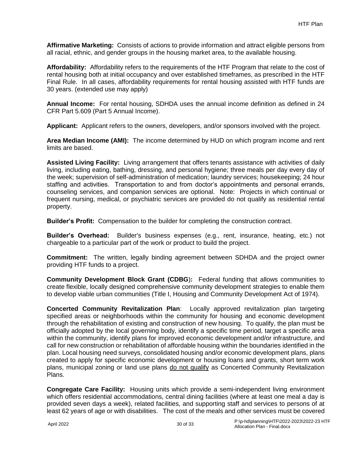**Affirmative Marketing:** Consists of actions to provide information and attract eligible persons from all racial, ethnic, and gender groups in the housing market area, to the available housing.

**Affordability:** Affordability refers to the requirements of the HTF Program that relate to the cost of rental housing both at initial occupancy and over established timeframes, as prescribed in the HTF Final Rule. In all cases, affordability requirements for rental housing assisted with HTF funds are 30 years. (extended use may apply)

**Annual Income:** For rental housing, SDHDA uses the annual income definition as defined in 24 CFR Part 5.609 (Part 5 Annual Income).

**Applicant:** Applicant refers to the owners, developers, and/or sponsors involved with the project.

**Area Median Income (AMI):** The income determined by HUD on which program income and rent limits are based.

**Assisted Living Facility:** Living arrangement that offers tenants assistance with activities of daily living, including eating, bathing, dressing, and personal hygiene; three meals per day every day of the week; supervision of self-administration of medication; laundry services; housekeeping; 24 hour staffing and activities. Transportation to and from doctor's appointments and personal errands, counseling services, and companion services are optional. Note: Projects in which continual or frequent nursing, medical, or psychiatric services are provided do not qualify as residential rental property.

**Builder's Profit:** Compensation to the builder for completing the construction contract.

**Builder's Overhead:** Builder's business expenses (e.g., rent, insurance, heating, etc.) not chargeable to a particular part of the work or product to build the project.

**Commitment:** The written, legally binding agreement between SDHDA and the project owner providing HTF funds to a project.

**Community Development Block Grant (CDBG**)**:** Federal funding that allows communities to create flexible, locally designed comprehensive community development strategies to enable them to develop viable urban communities (Title I, Housing and Community Development Act of 1974).

**Concerted Community Revitalization Plan**: Locally approved revitalization plan targeting specified areas or neighborhoods within the community for housing and economic development through the rehabilitation of existing and construction of new housing. To qualify, the plan must be officially adopted by the local governing body, identify a specific time period, target a specific area within the community, identify plans for improved economic development and/or infrastructure, and call for new construction or rehabilitation of affordable housing within the boundaries identified in the plan. Local housing need surveys, consolidated housing and/or economic development plans, plans created to apply for specific economic development or housing loans and grants, short term work plans, municipal zoning or land use plans do not qualify as Concerted Community Revitalization Plans.

**Congregate Care Facility:** Housing units which provide a semi-independent living environment which offers residential accommodations, central dining facilities (where at least one meal a day is provided seven days a week), related facilities, and supporting staff and services to persons of at least 62 years of age or with disabilities. The cost of the meals and other services must be covered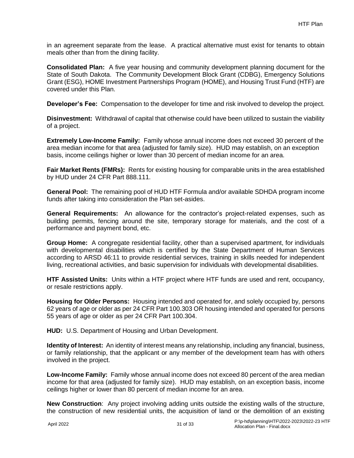in an agreement separate from the lease. A practical alternative must exist for tenants to obtain meals other than from the dining facility.

**Consolidated Plan:** A five year housing and community development planning document for the State of South Dakota. The Community Development Block Grant (CDBG), Emergency Solutions Grant (ESG), HOME Investment Partnerships Program (HOME), and Housing Trust Fund (HTF) are covered under this Plan.

**Developer's Fee:** Compensation to the developer for time and risk involved to develop the project.

**Disinvestment:** Withdrawal of capital that otherwise could have been utilized to sustain the viability of a project.

**Extremely Low-Income Family:** Family whose annual income does not exceed 30 percent of the area median income for that area (adjusted for family size). HUD may establish, on an exception basis, income ceilings higher or lower than 30 percent of median income for an area.

**Fair Market Rents (FMRs):** Rents for existing housing for comparable units in the area established by HUD under 24 CFR Part 888.111.

**General Pool:** The remaining pool of HUD HTF Formula and/or available SDHDA program income funds after taking into consideration the Plan set-asides.

**General Requirements:** An allowance for the contractor's project-related expenses, such as building permits, fencing around the site, temporary storage for materials, and the cost of a performance and payment bond, etc.

**Group Home:** A congregate residential facility, other than a supervised apartment, for individuals with developmental disabilities which is certified by the State Department of Human Services according to ARSD 46:11 to provide residential services, training in skills needed for independent living, recreational activities, and basic supervision for individuals with developmental disabilities.

**HTF Assisted Units:** Units within a HTF project where HTF funds are used and rent, occupancy, or resale restrictions apply.

**Housing for Older Persons:** Housing intended and operated for, and solely occupied by, persons 62 years of age or older as per 24 CFR Part 100.303 OR housing intended and operated for persons 55 years of age or older as per 24 CFR Part 100.304.

**HUD:** U.S. Department of Housing and Urban Development.

**Identity of Interest:** An identity of interest means any relationship, including any financial, business, or family relationship, that the applicant or any member of the development team has with others involved in the project.

**Low-Income Family:** Family whose annual income does not exceed 80 percent of the area median income for that area (adjusted for family size). HUD may establish, on an exception basis, income ceilings higher or lower than 80 percent of median income for an area.

**New Construction**: Any project involving adding units outside the existing walls of the structure, the construction of new residential units, the acquisition of land or the demolition of an existing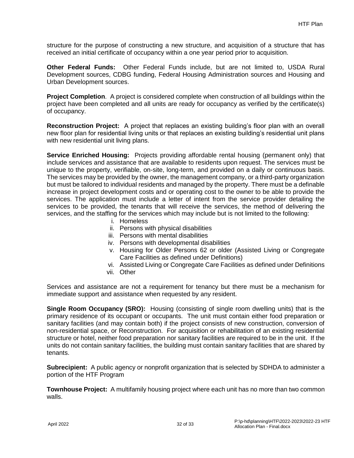structure for the purpose of constructing a new structure, and acquisition of a structure that has received an initial certificate of occupancy within a one year period prior to acquisition.

**Other Federal Funds:** Other Federal Funds include, but are not limited to, USDA Rural Development sources, CDBG funding, Federal Housing Administration sources and Housing and Urban Development sources.

**Project Completion**. A project is considered complete when construction of all buildings within the project have been completed and all units are ready for occupancy as verified by the certificate(s) of occupancy.

**Reconstruction Project:** A project that replaces an existing building's floor plan with an overall new floor plan for residential living units or that replaces an existing building's residential unit plans with new residential unit living plans.

**Service Enriched Housing:** Projects providing affordable rental housing (permanent only) that include services and assistance that are available to residents upon request. The services must be unique to the property, verifiable, on-site, long-term, and provided on a daily or continuous basis. The services may be provided by the owner, the management company, or a third-party organization but must be tailored to individual residents and managed by the property. There must be a definable increase in project development costs and or operating cost to the owner to be able to provide the services. The application must include a letter of intent from the service provider detailing the services to be provided, the tenants that will receive the services, the method of delivering the services, and the staffing for the services which may include but is not limited to the following:

- i. Homeless
- ii. Persons with physical disabilities
- iii. Persons with mental disabilities
- iv. Persons with developmental disabilities
- v. Housing for Older Persons 62 or older (Assisted Living or Congregate Care Facilities as defined under Definitions)
- vi. Assisted Living or Congregate Care Facilities as defined under Definitions vii. Other
- 

Services and assistance are not a requirement for tenancy but there must be a mechanism for immediate support and assistance when requested by any resident.

**Single Room Occupancy (SRO):** Housing (consisting of single room dwelling units) that is the primary residence of its occupant or occupants. The unit must contain either food preparation or sanitary facilities (and may contain both) if the project consists of new construction, conversion of non-residential space, or Reconstruction. For acquisition or rehabilitation of an existing residential structure or hotel, neither food preparation nor sanitary facilities are required to be in the unit. If the units do not contain sanitary facilities, the building must contain sanitary facilities that are shared by tenants.

**Subrecipient:** A public agency or nonprofit organization that is selected by SDHDA to administer a portion of the HTF Program

**Townhouse Project:** A multifamily housing project where each unit has no more than two common walls.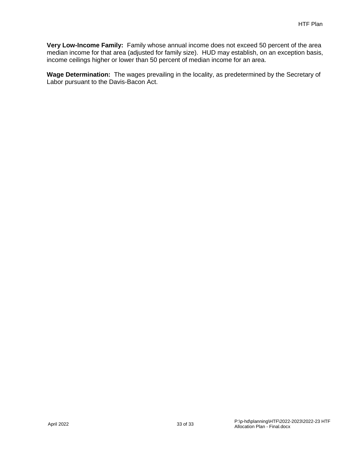**Very Low-Income Family:** Family whose annual income does not exceed 50 percent of the area median income for that area (adjusted for family size). HUD may establish, on an exception basis, income ceilings higher or lower than 50 percent of median income for an area.

**Wage Determination:** The wages prevailing in the locality, as predetermined by the Secretary of Labor pursuant to the Davis-Bacon Act.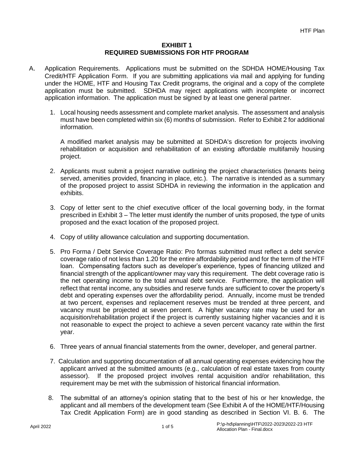#### **EXHIBIT 1 REQUIRED SUBMISSIONS FOR HTF PROGRAM**

- A. Application Requirements. Applications must be submitted on the SDHDA HOME/Housing Tax Credit/HTF Application Form. If you are submitting applications via mail and applying for funding under the HOME, HTF and Housing Tax Credit programs, the original and a copy of the complete application must be submitted. SDHDA may reject applications with incomplete or incorrect application information. The application must be signed by at least one general partner.
	- 1. Local housing needs assessment and complete market analysis. The assessment and analysis must have been completed within six (6) months of submission. Refer to Exhibit 2 for additional information.

A modified market analysis may be submitted at SDHDA's discretion for projects involving rehabilitation or acquisition and rehabilitation of an existing affordable multifamily housing project.

- 2. Applicants must submit a project narrative outlining the project characteristics (tenants being served, amenities provided, financing in place, etc.). The narrative is intended as a summary of the proposed project to assist SDHDA in reviewing the information in the application and exhibits.
- 3. Copy of letter sent to the chief executive officer of the local governing body, in the format prescribed in Exhibit 3 – The letter must identify the number of units proposed, the type of units proposed and the exact location of the proposed project.
- 4. Copy of utility allowance calculation and supporting documentation.
- 5. Pro Forma / Debt Service Coverage Ratio: Pro formas submitted must reflect a debt service coverage ratio of not less than 1.20 for the entire affordability period and for the term of the HTF loan. Compensating factors such as developer's experience, types of financing utilized and financial strength of the applicant/owner may vary this requirement. The debt coverage ratio is the net operating income to the total annual debt service. Furthermore, the application will reflect that rental income, any subsidies and reserve funds are sufficient to cover the property's debt and operating expenses over the affordability period. Annually, income must be trended at two percent, expenses and replacement reserves must be trended at three percent, and vacancy must be projected at seven percent. A higher vacancy rate may be used for an acquisition/rehabilitation project if the project is currently sustaining higher vacancies and it is not reasonable to expect the project to achieve a seven percent vacancy rate within the first year.
- 6. Three years of annual financial statements from the owner, developer, and general partner.
- 7. Calculation and supporting documentation of all annual operating expenses evidencing how the applicant arrived at the submitted amounts (e.g., calculation of real estate taxes from county assessor). If the proposed project involves rental acquisition and/or rehabilitation, this requirement may be met with the submission of historical financial information.
- 8. The submittal of an attorney's opinion stating that to the best of his or her knowledge, the applicant and all members of the development team (See Exhibit A of the HOME/HTF/Housing Tax Credit Application Form) are in good standing as described in Section VI. B. 6. The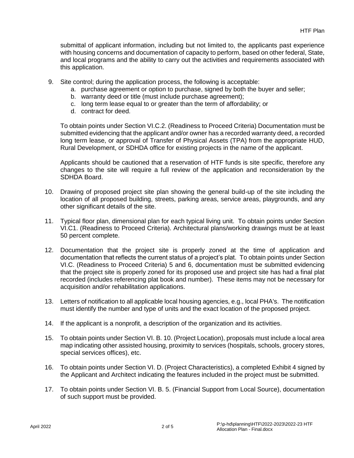submittal of applicant information, including but not limited to, the applicants past experience with housing concerns and documentation of capacity to perform, based on other federal, State, and local programs and the ability to carry out the activities and requirements associated with this application.

- 9. Site control; during the application process, the following is acceptable:
	- a. purchase agreement or option to purchase, signed by both the buyer and seller;
	- b. warranty deed or title (must include purchase agreement);
	- c. long term lease equal to or greater than the term of affordability; or
	- d. contract for deed.

To obtain points under Section VI.C.2. (Readiness to Proceed Criteria) Documentation must be submitted evidencing that the applicant and/or owner has a recorded warranty deed, a recorded long term lease, or approval of Transfer of Physical Assets (TPA) from the appropriate HUD, Rural Development, or SDHDA office for existing projects in the name of the applicant.

Applicants should be cautioned that a reservation of HTF funds is site specific, therefore any changes to the site will require a full review of the application and reconsideration by the SDHDA Board.

- 10. Drawing of proposed project site plan showing the general build-up of the site including the location of all proposed building, streets, parking areas, service areas, playgrounds, and any other significant details of the site.
- 11. Typical floor plan, dimensional plan for each typical living unit. To obtain points under Section VI.C1. (Readiness to Proceed Criteria). Architectural plans/working drawings must be at least 50 percent complete.
- 12. Documentation that the project site is properly zoned at the time of application and documentation that reflects the current status of a project's plat. To obtain points under Section VI.C. (Readiness to Proceed Criteria) 5 and 6, documentation must be submitted evidencing that the project site is properly zoned for its proposed use and project site has had a final plat recorded (includes referencing plat book and number). These items may not be necessary for acquisition and/or rehabilitation applications.
- 13. Letters of notification to all applicable local housing agencies, e.g., local PHA's. The notification must identify the number and type of units and the exact location of the proposed project.
- 14. If the applicant is a nonprofit, a description of the organization and its activities.
- 15. To obtain points under Section VI. B. 10. (Project Location), proposals must include a local area map indicating other assisted housing, proximity to services (hospitals, schools, grocery stores, special services offices), etc.
- 16. To obtain points under Section VI. D. (Project Characteristics), a completed Exhibit 4 signed by the Applicant and Architect indicating the features included in the project must be submitted.
- 17. To obtain points under Section VI. B. 5. (Financial Support from Local Source), documentation of such support must be provided.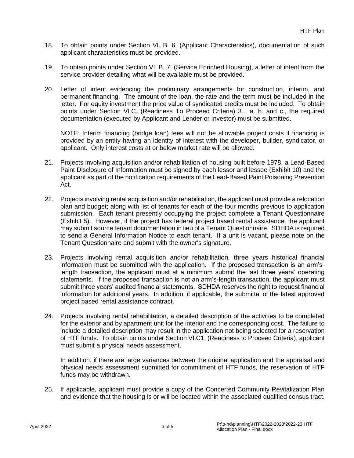- 18. To obtain points under Section VI. B. 6. (Applicant Characteristics), documentation of such applicant characteristics must be provided.
- 19. To obtain points under Section VI. B. 7. (Service Enriched Housing), a letter of intent from the service provider detailing what will be available must be provided.
- 20. Letter of intent evidencing the preliminary arrangements for construction, interim, and permanent financing. The amount of the loan, the rate and the term must be included in the letter. For equity investment the price value of syndicated credits must be included. To obtain points under Section VI.C. (Readiness To Proceed Criteria) 3... a. b. and c., the required documentation (executed by Applicant and Lender or Investor) must be submitted.

NOTE: Interim financing (bridge loan) fees will not be allowable project costs if financing is provided by an entity having an identity of interest with the developer, builder, syndicator, or applicant. Only interest costs at or below market rate will be allowed.

- 21. Projects involving acquisition and/or rehabilitation of housing built before 1978, a Lead-Based Paint Disclosure of Information must be signed by each lessor and lessee (Exhibit 10) and the applicant as part of the notification requirements of the Lead-Based Paint Poisoning Prevention Act.
- 22. Projects involving rental acquisition and/or rehabilitation, the applicant must provide a relocation plan and budget; along with list of tenants for each of the four months previous to application submission. Each tenant presently occupying the project complete a Tenant Questionnaire (Exhibit 5). However, if the project has federal project based rental assistance, the applicant may submit source tenant documentation in lieu of a Tenant Questionnaire. SDHDA is required to send a General Information Notice to each tenant. If a unit is vacant, please note on the Tenant Questionnaire and submit with the owner's signature.
- 23. Projects involving rental acquisition and/or rehabilitation, three years historical financial information must be submitted with the application. If the proposed transaction is an arm'slength transaction, the applicant must at a minimum submit the last three years' operating statements. If the proposed transaction is not an arm's-length transaction, the applicant must submit three years' audited financial statements. SDHDA reserves the right to request financial information for additional years. In addition, if applicable, the submittal of the latest approved project based rental assistance contract.
- 24. Projects involving rental rehabilitation, a detailed description of the activities to be completed for the exterior and by apartment unit for the interior and the corresponding cost. The failure to include a detailed description may result in the application not being selected for a reservation of HTF funds. To obtain points under Section VI.C1. (Readiness to Proceed Criteria), applicant must submit a physical needs assessment.

In addition, if there are large variances between the original application and the appraisal and physical needs assessment submitted for commitment of HTF funds, the reservation of HTF funds may be withdrawn.

25. If applicable, applicant must provide a copy of the Concerted Community Revitalization Plan and evidence that the housing is or will be located within the associated qualified census tract.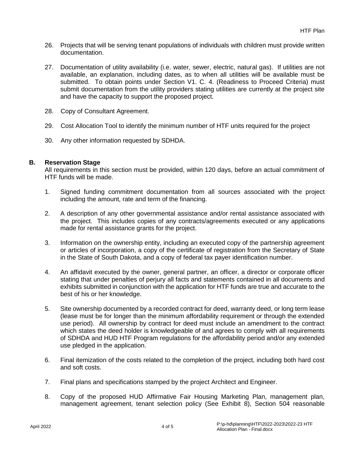- 26. Projects that will be serving tenant populations of individuals with children must provide written documentation.
- 27. Documentation of utility availability (i.e. water, sewer, electric, natural gas). If utilities are not available, an explanation, including dates, as to when all utilities will be available must be submitted. To obtain points under Section V1. C. 4. (Readiness to Proceed Criteria) must submit documentation from the utility providers stating utilities are currently at the project site and have the capacity to support the proposed project.
- 28. Copy of Consultant Agreement.
- 29. Cost Allocation Tool to identify the minimum number of HTF units required for the project
- 30. Any other information requested by SDHDA.

## **B. Reservation Stage**

All requirements in this section must be provided, within 120 days, before an actual commitment of HTF funds will be made.

- 1. Signed funding commitment documentation from all sources associated with the project including the amount, rate and term of the financing.
- 2. A description of any other governmental assistance and/or rental assistance associated with the project. This includes copies of any contracts/agreements executed or any applications made for rental assistance grants for the project.
- 3. Information on the ownership entity, including an executed copy of the partnership agreement or articles of incorporation, a copy of the certificate of registration from the Secretary of State in the State of South Dakota, and a copy of federal tax payer identification number.
- 4. An affidavit executed by the owner, general partner, an officer, a director or corporate officer stating that under penalties of perjury all facts and statements contained in all documents and exhibits submitted in conjunction with the application for HTF funds are true and accurate to the best of his or her knowledge.
- 5. Site ownership documented by a recorded contract for deed, warranty deed, or long term lease (lease must be for longer than the minimum affordability requirement or through the extended use period). All ownership by contract for deed must include an amendment to the contract which states the deed holder is knowledgeable of and agrees to comply with all requirements of SDHDA and HUD HTF Program regulations for the affordability period and/or any extended use pledged in the application.
- 6. Final itemization of the costs related to the completion of the project, including both hard cost and soft costs.
- 7. Final plans and specifications stamped by the project Architect and Engineer.
- 8. Copy of the proposed HUD Affirmative Fair Housing Marketing Plan, management plan, management agreement, tenant selection policy (See Exhibit 8), Section 504 reasonable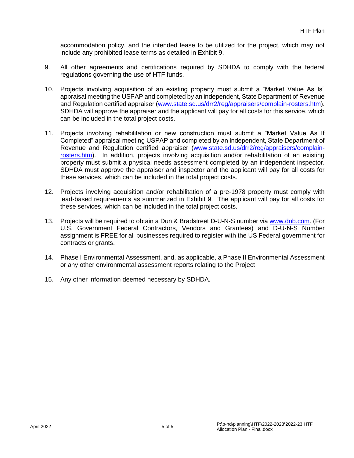accommodation policy, and the intended lease to be utilized for the project, which may not include any prohibited lease terms as detailed in Exhibit 9.

- 9. All other agreements and certifications required by SDHDA to comply with the federal regulations governing the use of HTF funds.
- 10. Projects involving acquisition of an existing property must submit a "Market Value As Is" appraisal meeting the USPAP and completed by an independent, State Department of Revenue and Regulation certified appraiser [\(www.state.sd.us/drr2/reg/appraisers/complain-rosters.htm\)](http://www.state.sd.us/drr2/reg/appraisers/complain-rosters.htm). SDHDA will approve the appraiser and the applicant will pay for all costs for this service, which can be included in the total project costs.
- 11. Projects involving rehabilitation or new construction must submit a "Market Value As If Completed" appraisal meeting USPAP and completed by an independent, State Department of Revenue and Regulation certified appraiser [\(www.state.sd.us/drr2/reg/appraisers/complain](http://www.state.sd.us/drr2/reg/appraisers/complain-rosters.htm)[rosters.htm\)](http://www.state.sd.us/drr2/reg/appraisers/complain-rosters.htm). In addition, projects involving acquisition and/or rehabilitation of an existing property must submit a physical needs assessment completed by an independent inspector. SDHDA must approve the appraiser and inspector and the applicant will pay for all costs for these services, which can be included in the total project costs.
- 12. Projects involving acquisition and/or rehabilitation of a pre-1978 property must comply with lead-based requirements as summarized in Exhibit 9. The applicant will pay for all costs for these services, which can be included in the total project costs.
- 13. Projects will be required to obtain a Dun & Bradstreet D-U-N-S number via [www.dnb.com.](http://www.dnb.com/) (For U.S. Government Federal Contractors, Vendors and Grantees) and D-U-N-S Number assignment is FREE for all businesses required to register with the US Federal government for contracts or grants.
- 14. Phase I Environmental Assessment, and, as applicable, a Phase II Environmental Assessment or any other environmental assessment reports relating to the Project.
- 15. Any other information deemed necessary by SDHDA.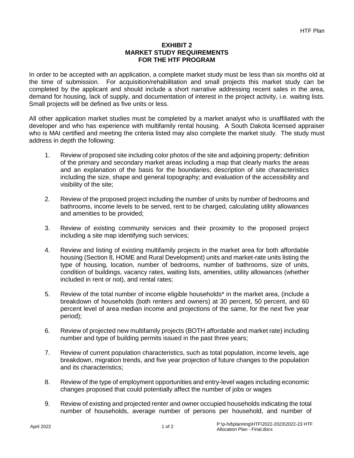#### **EXHIBIT 2 MARKET STUDY REQUIREMENTS FOR THE HTF PROGRAM**

In order to be accepted with an application, a complete market study must be less than six months old at the time of submission. For acquisition/rehabilitation and small projects this market study can be completed by the applicant and should include a short narrative addressing recent sales in the area, demand for housing, lack of supply, and documentation of interest in the project activity, i.e. waiting lists. Small projects will be defined as five units or less.

All other application market studies must be completed by a market analyst who is unaffiliated with the developer and who has experience with multifamily rental housing. A South Dakota licensed appraiser who is MAI certified and meeting the criteria listed may also complete the market study. The study must address in depth the following:

- 1. Review of proposed site including color photos of the site and adjoining property; definition of the primary and secondary market areas including a map that clearly marks the areas and an explanation of the basis for the boundaries; description of site characteristics including the size, shape and general topography; and evaluation of the accessibility and visibility of the site;
- 2. Review of the proposed project including the number of units by number of bedrooms and bathrooms, income levels to be served, rent to be charged, calculating utility allowances and amenities to be provided;
- 3. Review of existing community services and their proximity to the proposed project including a site map identifying such services;
- 4. Review and listing of existing multifamily projects in the market area for both affordable housing (Section 8, HOME and Rural Development) units and market-rate units listing the type of housing, location, number of bedrooms, number of bathrooms, size of units, condition of buildings, vacancy rates, waiting lists, amenities, utility allowances (whether included in rent or not), and rental rates;
- 5. Review of the total number of income eligible households\* in the market area, (include a breakdown of households (both renters and owners) at 30 percent, 50 percent, and 60 percent level of area median income and projections of the same, for the next five year period);
- 6. Review of projected new multifamily projects (BOTH affordable and market rate) including number and type of building permits issued in the past three years;
- 7. Review of current population characteristics, such as total population, income levels, age breakdown, migration trends, and five year projection of future changes to the population and its characteristics;
- 8. Review of the type of employment opportunities and entry-level wages including economic changes proposed that could potentially affect the number of jobs or wages
- 9. Review of existing and projected renter and owner occupied households indicating the total number of households, average number of persons per household, and number of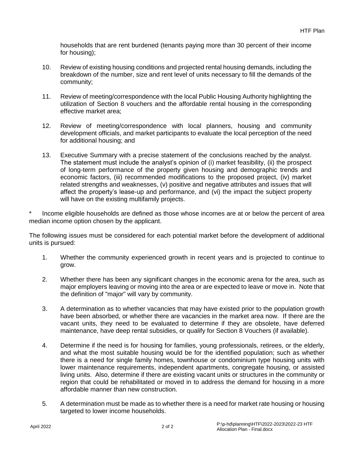households that are rent burdened (tenants paying more than 30 percent of their income for housing);

- 10. Review of existing housing conditions and projected rental housing demands, including the breakdown of the number, size and rent level of units necessary to fill the demands of the community;
- 11. Review of meeting/correspondence with the local Public Housing Authority highlighting the utilization of Section 8 vouchers and the affordable rental housing in the corresponding effective market area;
- 12. Review of meeting/correspondence with local planners, housing and community development officials, and market participants to evaluate the local perception of the need for additional housing; and
- 13. Executive Summary with a precise statement of the conclusions reached by the analyst. The statement must include the analyst's opinion of (i) market feasibility, (ii) the prospect of long-term performance of the property given housing and demographic trends and economic factors, (iii) recommended modifications to the proposed project, (iv) market related strengths and weaknesses, (v) positive and negative attributes and issues that will affect the property's lease-up and performance, and (vi) the impact the subject property will have on the existing multifamily projects.

Income eligible households are defined as those whose incomes are at or below the percent of area median income option chosen by the applicant.

The following issues must be considered for each potential market before the development of additional units is pursued:

- 1. Whether the community experienced growth in recent years and is projected to continue to grow.
- 2. Whether there has been any significant changes in the economic arena for the area, such as major employers leaving or moving into the area or are expected to leave or move in. Note that the definition of "major" will vary by community.
- 3. A determination as to whether vacancies that may have existed prior to the population growth have been absorbed, or whether there are vacancies in the market area now. If there are the vacant units, they need to be evaluated to determine if they are obsolete, have deferred maintenance, have deep rental subsidies, or qualify for Section 8 Vouchers (if available).
- 4. Determine if the need is for housing for families, young professionals, retirees, or the elderly, and what the most suitable housing would be for the identified population; such as whether there is a need for single family homes, townhouse or condominium type housing units with lower maintenance requirements, independent apartments, congregate housing, or assisted living units. Also, determine if there are existing vacant units or structures in the community or region that could be rehabilitated or moved in to address the demand for housing in a more affordable manner than new construction.
- 5. A determination must be made as to whether there is a need for market rate housing or housing targeted to lower income households.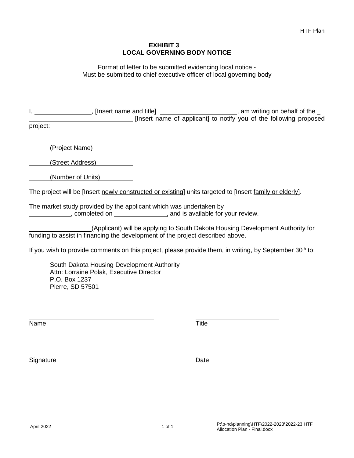#### **EXHIBIT 3 LOCAL GOVERNING BODY NOTICE**

Format of letter to be submitted evidencing local notice - Must be submitted to chief executive officer of local governing body

I, 1. Am writing on behalf of the set of the set of the set of the set of the set of the set of the set of the set of the set of the set of the set of the set of the set of the set of the set of the set of the set of the s [Insert name of applicant] to notify you of the following proposed project:

(Project Name)

(Street Address)

(Number of Units)

The project will be [Insert newly constructed or existing] units targeted to [Insert family or elderly].

The market study provided by the applicant which was undertaken by , completed on **completed** on **and is available for your review**.

(Applicant) will be applying to South Dakota Housing Development Authority for funding to assist in financing the development of the project described above.

If you wish to provide comments on this project, please provide them, in writing, by September 30<sup>th</sup> to:

South Dakota Housing Development Authority Attn: Lorraine Polak, Executive Director P.O. Box 1237 Pierre, SD 57501

Name Title

Signature Date **Date**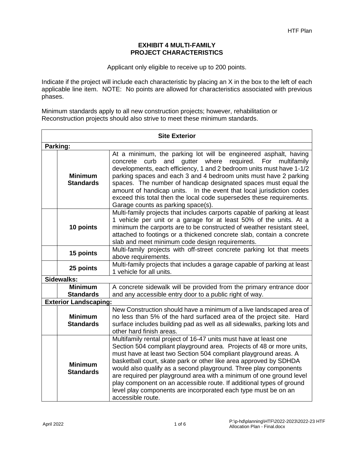#### **EXHIBIT 4 MULTI-FAMILY PROJECT CHARACTERISTICS**

Applicant only eligible to receive up to 200 points.

Indicate if the project will include each characteristic by placing an X in the box to the left of each applicable line item. NOTE: No points are allowed for characteristics associated with previous phases.

Minimum standards apply to all new construction projects; however, rehabilitation or Reconstruction projects should also strive to meet these minimum standards.

| <b>Site Exterior</b> |                                    |                                                                                                                                                                                                                                                                                                                                                                                                                                                                                                                                                                                             |
|----------------------|------------------------------------|---------------------------------------------------------------------------------------------------------------------------------------------------------------------------------------------------------------------------------------------------------------------------------------------------------------------------------------------------------------------------------------------------------------------------------------------------------------------------------------------------------------------------------------------------------------------------------------------|
| Parking:             |                                    |                                                                                                                                                                                                                                                                                                                                                                                                                                                                                                                                                                                             |
|                      | <b>Minimum</b><br><b>Standards</b> | At a minimum, the parking lot will be engineered asphalt, having<br>curb<br>and<br>gutter where<br>required. For multifamily<br>concrete<br>developments, each efficiency, 1 and 2 bedroom units must have 1-1/2<br>parking spaces and each 3 and 4 bedroom units must have 2 parking<br>spaces. The number of handicap designated spaces must equal the<br>amount of handicap units. In the event that local jurisdiction codes<br>exceed this total then the local code supersedes these requirements.<br>Garage counts as parking space(s).                                              |
|                      | 10 points                          | Multi-family projects that includes carports capable of parking at least<br>1 vehicle per unit or a garage for at least 50% of the units. At a<br>minimum the carports are to be constructed of weather resistant steel,<br>attached to footings or a thickened concrete slab, contain a concrete<br>slab and meet minimum code design requirements.                                                                                                                                                                                                                                        |
|                      | 15 points                          | Multi-family projects with off-street concrete parking lot that meets<br>above requirements.                                                                                                                                                                                                                                                                                                                                                                                                                                                                                                |
|                      | 25 points                          | Multi-family projects that includes a garage capable of parking at least<br>1 vehicle for all units.                                                                                                                                                                                                                                                                                                                                                                                                                                                                                        |
|                      | Sidewalks:                         |                                                                                                                                                                                                                                                                                                                                                                                                                                                                                                                                                                                             |
|                      | <b>Minimum</b>                     | A concrete sidewalk will be provided from the primary entrance door                                                                                                                                                                                                                                                                                                                                                                                                                                                                                                                         |
|                      | <b>Standards</b>                   | and any accessible entry door to a public right of way.                                                                                                                                                                                                                                                                                                                                                                                                                                                                                                                                     |
|                      | <b>Exterior Landscaping:</b>       |                                                                                                                                                                                                                                                                                                                                                                                                                                                                                                                                                                                             |
|                      | <b>Minimum</b><br><b>Standards</b> | New Construction should have a minimum of a live landscaped area of<br>no less than 5% of the hard surfaced area of the project site. Hard<br>surface includes building pad as well as all sidewalks, parking lots and<br>other hard finish areas.                                                                                                                                                                                                                                                                                                                                          |
|                      | <b>Minimum</b><br><b>Standards</b> | Multifamily rental project of 16-47 units must have at least one<br>Section 504 compliant playground area. Projects of 48 or more units,<br>must have at least two Section 504 compliant playground areas. A<br>basketball court, skate park or other like area approved by SDHDA<br>would also qualify as a second playground. Three play components<br>are required per playground area with a minimum of one ground level<br>play component on an accessible route. If additional types of ground<br>level play components are incorporated each type must be on an<br>accessible route. |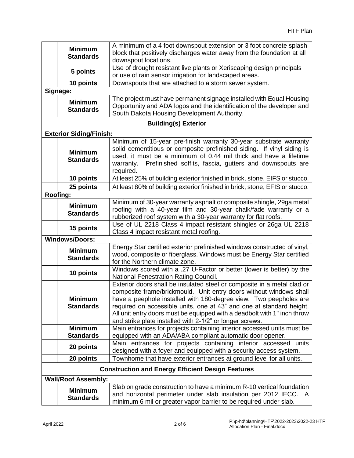| <b>Minimum</b>                     | A minimum of a 4 foot downspout extension or 3 foot concrete splash<br>block that positively discharges water away from the foundation at all                                                                                                                                                                                                                                                                                      |
|------------------------------------|------------------------------------------------------------------------------------------------------------------------------------------------------------------------------------------------------------------------------------------------------------------------------------------------------------------------------------------------------------------------------------------------------------------------------------|
| <b>Standards</b>                   | downspout locations.                                                                                                                                                                                                                                                                                                                                                                                                               |
| 5 points                           | Use of drought resistant live plants or Xeriscaping design principals<br>or use of rain sensor irrigation for landscaped areas.                                                                                                                                                                                                                                                                                                    |
| 10 points                          | Downspouts that are attached to a storm sewer system.                                                                                                                                                                                                                                                                                                                                                                              |
| Signage:                           |                                                                                                                                                                                                                                                                                                                                                                                                                                    |
| <b>Minimum</b>                     | The project must have permanent signage installed with Equal Housing                                                                                                                                                                                                                                                                                                                                                               |
| <b>Standards</b>                   | Opportunity and ADA logos and the identification of the developer and<br>South Dakota Housing Development Authority.                                                                                                                                                                                                                                                                                                               |
|                                    | <b>Building(s) Exterior</b>                                                                                                                                                                                                                                                                                                                                                                                                        |
| <b>Exterior Siding/Finish:</b>     |                                                                                                                                                                                                                                                                                                                                                                                                                                    |
| <b>Minimum</b><br><b>Standards</b> | Minimum of 15-year pre-finish warranty 30-year substrate warranty<br>solid cementitious or composite prefinished siding. If vinyl siding is<br>used, it must be a minimum of 0.44 mil thick and have a lifetime<br>Prefinished soffits, fascia, gutters and downspouts are<br>warranty.<br>required.                                                                                                                               |
| 10 points                          | At least 25% of building exterior finished in brick, stone, EIFS or stucco.                                                                                                                                                                                                                                                                                                                                                        |
| 25 points                          | At least 80% of building exterior finished in brick, stone, EFIS or stucco.                                                                                                                                                                                                                                                                                                                                                        |
| <b>Roofing:</b>                    |                                                                                                                                                                                                                                                                                                                                                                                                                                    |
| <b>Minimum</b><br><b>Standards</b> | Minimum of 30-year warranty asphalt or composite shingle, 29ga metal<br>roofing with a 40-year film and 30-year chalk/fade warranty or a<br>rubberized roof system with a 30-year warranty for flat roofs.                                                                                                                                                                                                                         |
| 15 points                          | Use of UL 2218 Class 4 impact resistant shingles or 26ga UL 2218<br>Class 4 impact resistant metal roofing.                                                                                                                                                                                                                                                                                                                        |
| Windows/Doors:                     |                                                                                                                                                                                                                                                                                                                                                                                                                                    |
| <b>Minimum</b><br><b>Standards</b> | Energy Star certified exterior prefinished windows constructed of vinyl,<br>wood, composite or fiberglass. Windows must be Energy Star certified<br>for the Northern climate zone.                                                                                                                                                                                                                                                 |
| 10 points                          | Windows scored with a .27 U-Factor or better (lower is better) by the<br><b>National Fenestration Rating Council.</b>                                                                                                                                                                                                                                                                                                              |
| <b>Minimum</b><br><b>Standards</b> | Exterior doors shall be insulated steel or composite in a metal clad or<br>composite frame/brickmould. Unit entry doors without windows shall<br>have a peephole installed with 180-degree view. Two peepholes are<br>required on accessible units, one at 43" and one at standard height.<br>All unit entry doors must be equipped with a deadbolt with 1" inch throw<br>and strike plate installed with 2-1/2" or longer screws. |
| <b>Minimum</b>                     | Main entrances for projects containing interior accessed units must be                                                                                                                                                                                                                                                                                                                                                             |
| <b>Standards</b>                   | equipped with an ADA/ABA compliant automatic door opener.                                                                                                                                                                                                                                                                                                                                                                          |
| 20 points                          | Main entrances for projects containing interior accessed units<br>designed with a foyer and equipped with a security access system.                                                                                                                                                                                                                                                                                                |
| 20 points                          | Townhome that have exterior entrances at ground level for all units.                                                                                                                                                                                                                                                                                                                                                               |
|                                    | <b>Construction and Energy Efficient Design Features</b>                                                                                                                                                                                                                                                                                                                                                                           |
| <b>Wall/Roof Assembly:</b>         |                                                                                                                                                                                                                                                                                                                                                                                                                                    |
| <b>Minimum</b><br><b>Standards</b> | Slab on grade construction to have a minimum R-10 vertical foundation<br>and horizontal perimeter under slab insulation per 2012 IECC.<br>A<br>minimum 6 mil or greater vapor barrier to be required under slab.                                                                                                                                                                                                                   |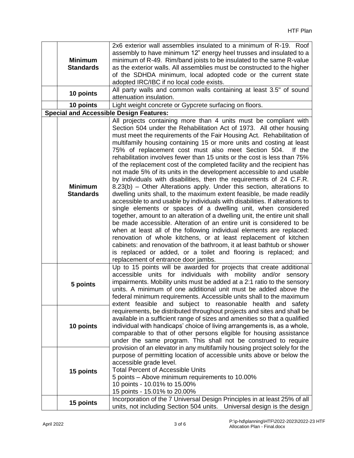|                  | 2x6 exterior wall assemblies insulated to a minimum of R-19. Roof                                                                            |
|------------------|----------------------------------------------------------------------------------------------------------------------------------------------|
|                  | assembly to have minimum 12" energy heel trusses and insulated to a                                                                          |
| <b>Minimum</b>   | minimum of R-49. Rim/band joists to be insulated to the same R-value                                                                         |
| <b>Standards</b> | as the exterior walls. All assemblies must be constructed to the higher                                                                      |
|                  | of the SDHDA minimum, local adopted code or the current state                                                                                |
|                  | adopted IRC/IBC if no local code exists.                                                                                                     |
| 10 points        | All party walls and common walls containing at least 3.5" of sound                                                                           |
|                  | attenuation insulation.                                                                                                                      |
| 10 points        | Light weight concrete or Gypcrete surfacing on floors.                                                                                       |
|                  | <b>Special and Accessible Design Features:</b><br>All projects containing more than 4 units must be compliant with                           |
|                  | Section 504 under the Rehabilitation Act of 1973. All other housing                                                                          |
|                  | must meet the requirements of the Fair Housing Act. Rehabilitation of                                                                        |
|                  | multifamily housing containing 15 or more units and costing at least                                                                         |
|                  | 75% of replacement cost must also meet Section 504.<br>If the                                                                                |
|                  | rehabilitation involves fewer than 15 units or the cost is less than 75%                                                                     |
|                  | of the replacement cost of the completed facility and the recipient has                                                                      |
|                  | not made 5% of its units in the development accessible to and usable                                                                         |
|                  | by individuals with disabilities, then the requirements of 24 C.F.R.                                                                         |
| <b>Minimum</b>   | 8.23(b) – Other Alterations apply. Under this section, alterations to                                                                        |
| <b>Standards</b> | dwelling units shall, to the maximum extent feasible, be made readily                                                                        |
|                  | accessible to and usable by individuals with disabilities. If alterations to                                                                 |
|                  | single elements or spaces of a dwelling unit, when considered                                                                                |
|                  | together, amount to an alteration of a dwelling unit, the entire unit shall                                                                  |
|                  | be made accessible. Alteration of an entire unit is considered to be<br>when at least all of the following individual elements are replaced: |
|                  | renovation of whole kitchens, or at least replacement of kitchen                                                                             |
|                  | cabinets: and renovation of the bathroom, it at least bathtub or shower                                                                      |
|                  | is replaced or added, or a toilet and flooring is replaced; and                                                                              |
|                  | replacement of entrance door jambs.                                                                                                          |
|                  | Up to 15 points will be awarded for projects that create additional                                                                          |
|                  | accessible units for individuals with mobility and/or sensory                                                                                |
| 5 points         | impairments. Mobility units must be added at a 2:1 ratio to the sensory                                                                      |
|                  | units. A minimum of one additional unit must be added above the                                                                              |
|                  | federal minimum requirements. Accessible units shall to the maximum                                                                          |
|                  | extent feasible and subject to reasonable health and safety<br>requirements, be distributed throughout projects and sites and shall be       |
|                  | available in a sufficient range of sizes and amenities so that a qualified                                                                   |
| 10 points        | individual with handicaps' choice of living arrangements is, as a whole,                                                                     |
|                  | comparable to that of other persons eligible for housing assistance                                                                          |
|                  | under the same program. This shall not be construed to require                                                                               |
|                  | provision of an elevator in any multifamily housing project solely for the                                                                   |
|                  | purpose of permitting location of accessible units above or below the                                                                        |
|                  | accessible grade level.                                                                                                                      |
| 15 points        | <b>Total Percent of Accessible Units</b>                                                                                                     |
|                  | 5 points – Above minimum requirements to 10.00%                                                                                              |
|                  | 10 points - 10.01% to 15.00%<br>15 points - 15.01% to 20.00%                                                                                 |
|                  | Incorporation of the 7 Universal Design Principles in at least 25% of all                                                                    |
| 15 points        | units, not including Section 504 units. Universal design is the design                                                                       |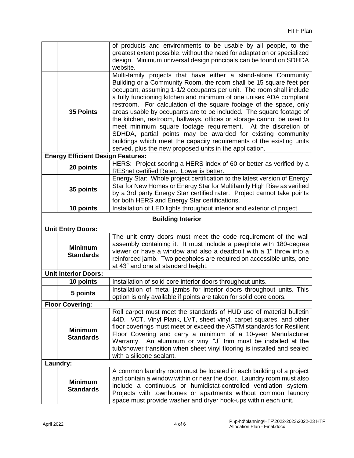| of products and environments to be usable by all people, to the                                                                                       |  |  |
|-------------------------------------------------------------------------------------------------------------------------------------------------------|--|--|
| greatest extent possible, without the need for adaptation or specialized                                                                              |  |  |
| design. Minimum universal design principals can be found on SDHDA                                                                                     |  |  |
| website.                                                                                                                                              |  |  |
| Multi-family projects that have either a stand-alone Community                                                                                        |  |  |
| Building or a Community Room, the room shall be 15 square feet per                                                                                    |  |  |
| occupant, assuming 1-1/2 occupants per unit. The room shall include<br>a fully functioning kitchen and minimum of one unisex ADA compliant            |  |  |
| restroom. For calculation of the square footage of the space, only                                                                                    |  |  |
| areas usable by occupants are to be included. The square footage of<br><b>35 Points</b>                                                               |  |  |
| the kitchen, restroom, hallways, offices or storage cannot be used to                                                                                 |  |  |
| meet minimum square footage requirement. At the discretion of                                                                                         |  |  |
| SDHDA, partial points may be awarded for existing community                                                                                           |  |  |
| buildings which meet the capacity requirements of the existing units                                                                                  |  |  |
| served, plus the new proposed units in the application.                                                                                               |  |  |
| <b>Energy Efficient Design Features:</b>                                                                                                              |  |  |
| HERS: Project scoring a HERS index of 60 or better as verified by a<br>20 points                                                                      |  |  |
| RESnet certified Rater. Lower is better.                                                                                                              |  |  |
| Energy Star: Whole project certification to the latest version of Energy                                                                              |  |  |
| Star for New Homes or Energy Star for Multifamily High Rise as verified<br>35 points                                                                  |  |  |
| by a 3rd party Energy Star certified rater. Project cannot take points                                                                                |  |  |
| for both HERS and Energy Star certifications.                                                                                                         |  |  |
| 10 points<br>Installation of LED lights throughout interior and exterior of project.                                                                  |  |  |
| <b>Building Interior</b>                                                                                                                              |  |  |
| <b>Unit Entry Doors:</b>                                                                                                                              |  |  |
| The unit entry doors must meet the code requirement of the wall                                                                                       |  |  |
| assembly containing it. It must include a peephole with 180-degree<br><b>Minimum</b>                                                                  |  |  |
| viewer or have a window and also a deadbolt with a 1" throw into a<br><b>Standards</b>                                                                |  |  |
| reinforced jamb. Two peepholes are required on accessible units, one                                                                                  |  |  |
| at 43" and one at standard height.                                                                                                                    |  |  |
| <b>Unit Interior Doors:</b>                                                                                                                           |  |  |
| 10 points<br>Installation of solid core interior doors throughout units.<br>Installation of metal jambs for interior doors throughout units. This     |  |  |
| 5 points<br>option is only available if points are taken for solid core doors.                                                                        |  |  |
| <b>Floor Covering:</b>                                                                                                                                |  |  |
| Roll carpet must meet the standards of HUD use of material bulletin                                                                                   |  |  |
| 44D. VCT, Vinyl Plank, LVT, sheet vinyl, carpet squares, and other                                                                                    |  |  |
| floor coverings must meet or exceed the ASTM standards for Resilient                                                                                  |  |  |
| <b>Minimum</b><br>Floor Covering and carry a minimum of a 10-year Manufacturer<br><b>Standards</b>                                                    |  |  |
| Warranty. An aluminum or vinyl "J" trim must be installed at the                                                                                      |  |  |
| tub/shower transition when sheet vinyl flooring is installed and sealed                                                                               |  |  |
| with a silicone sealant.                                                                                                                              |  |  |
| Laundry:                                                                                                                                              |  |  |
|                                                                                                                                                       |  |  |
| A common laundry room must be located in each building of a project                                                                                   |  |  |
| and contain a window within or near the door. Laundry room must also<br><b>Minimum</b>                                                                |  |  |
| include a continuous or humidistat-controlled ventilation system.<br><b>Standards</b><br>Projects with townhomes or apartments without common laundry |  |  |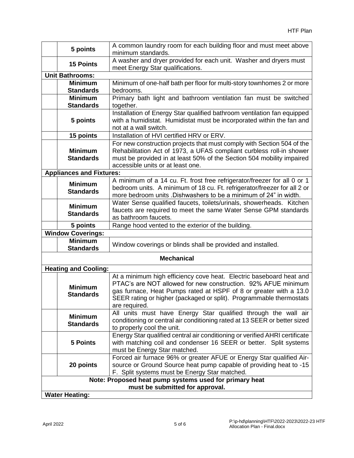|                                                        | 5 points                           | A common laundry room for each building floor and must meet above<br>minimum standards.                                                                                                                                                                                                           |  |
|--------------------------------------------------------|------------------------------------|---------------------------------------------------------------------------------------------------------------------------------------------------------------------------------------------------------------------------------------------------------------------------------------------------|--|
|                                                        | <b>15 Points</b>                   | A washer and dryer provided for each unit. Washer and dryers must<br>meet Energy Star qualifications.                                                                                                                                                                                             |  |
|                                                        | <b>Unit Bathrooms:</b>             |                                                                                                                                                                                                                                                                                                   |  |
|                                                        | <b>Minimum</b>                     | Minimum of one-half bath per floor for multi-story townhomes 2 or more                                                                                                                                                                                                                            |  |
|                                                        | <b>Standards</b>                   | bedrooms.                                                                                                                                                                                                                                                                                         |  |
|                                                        | <b>Minimum</b>                     | Primary bath light and bathroom ventilation fan must be switched                                                                                                                                                                                                                                  |  |
|                                                        | <b>Standards</b>                   | together.                                                                                                                                                                                                                                                                                         |  |
|                                                        | 5 points                           | Installation of Energy Star qualified bathroom ventilation fan equipped<br>with a humidistat. Humidistat must be incorporated within the fan and<br>not at a wall switch.                                                                                                                         |  |
|                                                        | 15 points                          | Installation of HVI certified HRV or ERV.                                                                                                                                                                                                                                                         |  |
|                                                        | <b>Minimum</b><br><b>Standards</b> | For new construction projects that must comply with Section 504 of the<br>Rehabilitation Act of 1973, a UFAS compliant curbless roll-in shower<br>must be provided in at least 50% of the Section 504 mobility impaired<br>accessible units or at least one.                                      |  |
|                                                        | <b>Appliances and Fixtures:</b>    |                                                                                                                                                                                                                                                                                                   |  |
|                                                        | <b>Minimum</b><br><b>Standards</b> | A minimum of a 14 cu. Ft. frost free refrigerator/freezer for all 0 or 1<br>bedroom units. A minimum of 18 cu. Ft. refrigerator/freezer for all 2 or<br>more bedroom units .Dishwashers to be a minimum of 24" in width.                                                                          |  |
|                                                        | <b>Minimum</b><br><b>Standards</b> | Water Sense qualified faucets, toilets/urinals, showerheads. Kitchen<br>faucets are required to meet the same Water Sense GPM standards<br>as bathroom faucets.                                                                                                                                   |  |
|                                                        | 5 points                           | Range hood vented to the exterior of the building.                                                                                                                                                                                                                                                |  |
|                                                        | <b>Window Coverings:</b>           |                                                                                                                                                                                                                                                                                                   |  |
|                                                        | <b>Minimum</b><br><b>Standards</b> | Window coverings or blinds shall be provided and installed.                                                                                                                                                                                                                                       |  |
|                                                        |                                    | <b>Mechanical</b>                                                                                                                                                                                                                                                                                 |  |
|                                                        | <b>Heating and Cooling:</b>        |                                                                                                                                                                                                                                                                                                   |  |
|                                                        | <b>Minimum</b><br><b>Standards</b> | At a minimum high efficiency cove heat. Electric baseboard heat and<br>PTAC's are NOT allowed for new construction. 92% AFUE minimum<br>gas furnace, Heat Pumps rated at HSPF of 8 or greater with a 13.0<br>SEER rating or higher (packaged or split). Programmable thermostats<br>are required. |  |
|                                                        | <b>Minimum</b><br><b>Standards</b> | All units must have Energy Star qualified through the wall air<br>conditioning or central air conditioning rated at 13 SEER or better sized<br>to properly cool the unit.                                                                                                                         |  |
|                                                        | <b>5 Points</b>                    | Energy Star qualified central air conditioning or verified AHRI certificate<br>with matching coil and condenser 16 SEER or better. Split systems<br>must be Energy Star matched.                                                                                                                  |  |
|                                                        | 20 points                          | Forced air furnace 96% or greater AFUE or Energy Star qualified Air-<br>source or Ground Source heat pump capable of providing heat to -15<br>F. Split systems must be Energy Star matched.                                                                                                       |  |
| Note: Proposed heat pump systems used for primary heat |                                    |                                                                                                                                                                                                                                                                                                   |  |
|                                                        | must be submitted for approval.    |                                                                                                                                                                                                                                                                                                   |  |
|                                                        | <b>Water Heating:</b>              |                                                                                                                                                                                                                                                                                                   |  |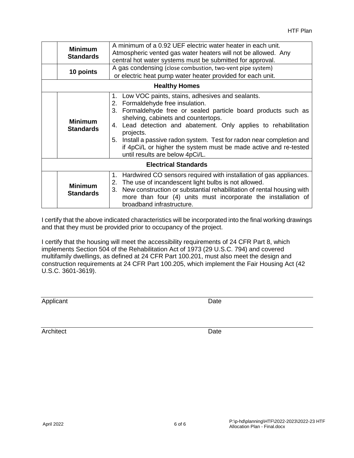|                             | <b>Minimum</b><br><b>Standards</b> | A minimum of a 0.92 UEF electric water heater in each unit.<br>Atmospheric vented gas water heaters will not be allowed. Any<br>central hot water systems must be submitted for approval.                                                                                                                                                                                                                                                                                      |
|-----------------------------|------------------------------------|--------------------------------------------------------------------------------------------------------------------------------------------------------------------------------------------------------------------------------------------------------------------------------------------------------------------------------------------------------------------------------------------------------------------------------------------------------------------------------|
|                             | 10 points                          | A gas condensing (close combustion, two-vent pipe system)<br>or electric heat pump water heater provided for each unit.                                                                                                                                                                                                                                                                                                                                                        |
|                             |                                    | <b>Healthy Homes</b>                                                                                                                                                                                                                                                                                                                                                                                                                                                           |
|                             | <b>Minimum</b><br><b>Standards</b> | Low VOC paints, stains, adhesives and sealants.<br>$\mathbf{1}$ .<br>2. Formaldehyde free insulation.<br>3. Formaldehyde free or sealed particle board products such as<br>shelving, cabinets and countertops.<br>4. Lead detection and abatement. Only applies to rehabilitation<br>projects.<br>5. Install a passive radon system. Test for radon near completion and<br>if 4pCi/L or higher the system must be made active and re-tested<br>until results are below 4pCi/L. |
| <b>Electrical Standards</b> |                                    |                                                                                                                                                                                                                                                                                                                                                                                                                                                                                |
|                             | <b>Minimum</b><br><b>Standards</b> | Hardwired CO sensors required with installation of gas appliances.<br>1 <sub>1</sub><br>The use of incandescent light bulbs is not allowed.<br>2.<br>New construction or substantial rehabilitation of rental housing with<br>3.<br>more than four (4) units must incorporate the installation of<br>broadband infrastructure.                                                                                                                                                 |

I certify that the above indicated characteristics will be incorporated into the final working drawings and that they must be provided prior to occupancy of the project.

I certify that the housing will meet the accessibility requirements of 24 CFR Part 8, which implements Section 504 of the Rehabilitation Act of 1973 (29 U.S.C. 794) and covered multifamily dwellings, as defined at 24 CFR Part 100.201, must also meet the design and construction requirements at 24 CFR Part 100.205, which implement the Fair Housing Act (42 U.S.C. 3601-3619).

Applicant Date **Date** 

Architect Date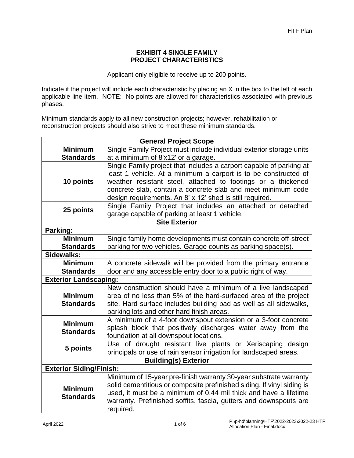### **EXHIBIT 4 SINGLE FAMILY PROJECT CHARACTERISTICS**

Applicant only eligible to receive up to 200 points.

Indicate if the project will include each characteristic by placing an X in the box to the left of each applicable line item. NOTE: No points are allowed for characteristics associated with previous phases.

Minimum standards apply to all new construction projects; however, rehabilitation or reconstruction projects should also strive to meet these minimum standards.

| <b>General Project Scope</b>   |                                                                                |  |
|--------------------------------|--------------------------------------------------------------------------------|--|
| <b>Minimum</b>                 | Single Family Project must include individual exterior storage units           |  |
| <b>Standards</b>               | at a minimum of 8'x12' or a garage.                                            |  |
|                                | Single Family project that includes a carport capable of parking at            |  |
|                                | least 1 vehicle. At a minimum a carport is to be constructed of                |  |
| 10 points                      | weather resistant steel, attached to footings or a thickened                   |  |
|                                | concrete slab, contain a concrete slab and meet minimum code                   |  |
|                                | design requirements. An 8' x 12' shed is still required.                       |  |
|                                | Single Family Project that includes an attached or detached                    |  |
| 25 points                      | garage capable of parking at least 1 vehicle.                                  |  |
|                                | <b>Site Exterior</b>                                                           |  |
| Parking:                       |                                                                                |  |
| <b>Minimum</b>                 | Single family home developments must contain concrete off-street               |  |
| <b>Standards</b>               | parking for two vehicles. Garage counts as parking space(s).                   |  |
| Sidewalks:                     |                                                                                |  |
| <b>Minimum</b>                 | A concrete sidewalk will be provided from the primary entrance                 |  |
| <b>Standards</b>               | door and any accessible entry door to a public right of way.                   |  |
| <b>Exterior Landscaping:</b>   |                                                                                |  |
|                                | New construction should have a minimum of a live landscaped                    |  |
| <b>Minimum</b>                 | area of no less than 5% of the hard-surfaced area of the project               |  |
| <b>Standards</b>               | site. Hard surface includes building pad as well as all sidewalks,             |  |
|                                | parking lots and other hard finish areas.                                      |  |
| <b>Minimum</b>                 | A minimum of a 4-foot downspout extension or a 3-foot concrete                 |  |
| <b>Standards</b>               | splash block that positively discharges water away from the                    |  |
|                                | foundation at all downspout locations.                                         |  |
| 5 points                       | Use of drought resistant live plants or Xeriscaping design                     |  |
|                                | principals or use of rain sensor irrigation for landscaped areas.              |  |
| <b>Building(s) Exterior</b>    |                                                                                |  |
| <b>Exterior Siding/Finish:</b> |                                                                                |  |
|                                | Minimum of 15-year pre-finish warranty 30-year substrate warranty              |  |
| <b>Minimum</b>                 | solid cementitious or composite prefinished siding. If vinyl siding is         |  |
| <b>Standards</b>               | used, it must be a minimum of 0.44 mil thick and have a lifetime               |  |
|                                | warranty. Prefinished soffits, fascia, gutters and downspouts are<br>required. |  |
|                                |                                                                                |  |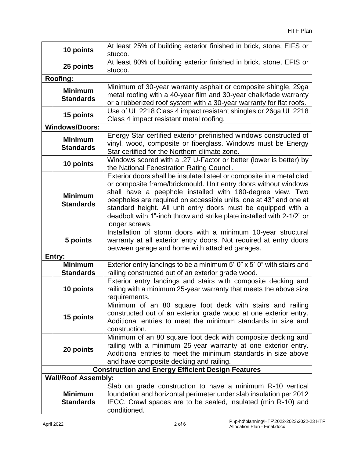| 10 points                  | At least 25% of building exterior finished in brick, stone, EIFS or   |
|----------------------------|-----------------------------------------------------------------------|
|                            | stucco.                                                               |
| 25 points                  | At least 80% of building exterior finished in brick, stone, EFIS or   |
|                            | stucco.                                                               |
| Roofing:                   |                                                                       |
| <b>Minimum</b>             | Minimum of 30-year warranty asphalt or composite shingle, 29ga        |
| <b>Standards</b>           | metal roofing with a 40-year film and 30-year chalk/fade warranty     |
|                            | or a rubberized roof system with a 30-year warranty for flat roofs.   |
| 15 points                  | Use of UL 2218 Class 4 impact resistant shingles or 26ga UL 2218      |
|                            | Class 4 impact resistant metal roofing.                               |
| <b>Windows/Doors:</b>      |                                                                       |
| <b>Minimum</b>             | Energy Star certified exterior prefinished windows constructed of     |
| <b>Standards</b>           | vinyl, wood, composite or fiberglass. Windows must be Energy          |
|                            | Star certified for the Northern climate zone.                         |
| 10 points                  | Windows scored with a .27 U-Factor or better (lower is better) by     |
|                            | the National Fenestration Rating Council.                             |
|                            | Exterior doors shall be insulated steel or composite in a metal clad  |
|                            | or composite frame/brickmould. Unit entry doors without windows       |
| <b>Minimum</b>             | shall have a peephole installed with 180-degree view. Two             |
| <b>Standards</b>           | peepholes are required on accessible units, one at 43" and one at     |
|                            | standard height. All unit entry doors must be equipped with a         |
|                            | deadbolt with 1"-inch throw and strike plate installed with 2-1/2" or |
|                            | longer screws.                                                        |
|                            | Installation of storm doors with a minimum 10-year structural         |
| 5 points                   | warranty at all exterior entry doors. Not required at entry doors     |
|                            | between garage and home with attached garages.                        |
| Entry:                     |                                                                       |
| <b>Minimum</b>             | Exterior entry landings to be a minimum 5'-0" x 5'-0" with stairs and |
| <b>Standards</b>           | railing constructed out of an exterior grade wood.                    |
|                            | Exterior entry landings and stairs with composite decking and         |
| 10 points                  | railing with a minimum 25-year warranty that meets the above size     |
|                            | requirements.                                                         |
|                            | Minimum of an 80 square foot deck with stairs and railing             |
| 15 points                  | constructed out of an exterior grade wood at one exterior entry.      |
|                            | Additional entries to meet the minimum standards in size and          |
|                            | construction.                                                         |
|                            | Minimum of an 80 square foot deck with composite decking and          |
| 20 points                  | railing with a minimum 25-year warranty at one exterior entry.        |
|                            | Additional entries to meet the minimum standards in size above        |
|                            | and have composite decking and railing.                               |
|                            | <b>Construction and Energy Efficient Design Features</b>              |
| <b>Wall/Roof Assembly:</b> |                                                                       |
|                            | Slab on grade construction to have a minimum R-10 vertical            |
| <b>Minimum</b>             | foundation and horizontal perimeter under slab insulation per 2012    |
| <b>Standards</b>           | IECC. Crawl spaces are to be sealed, insulated (min R-10) and         |
|                            | conditioned.                                                          |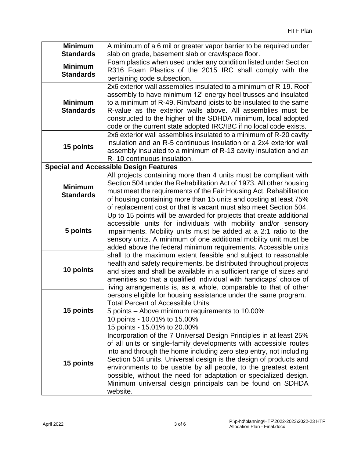|  | <b>Minimum</b>   | A minimum of a 6 mil or greater vapor barrier to be required under                                                                 |
|--|------------------|------------------------------------------------------------------------------------------------------------------------------------|
|  | <b>Standards</b> | slab on grade, basement slab or crawlspace floor.                                                                                  |
|  | <b>Minimum</b>   | Foam plastics when used under any condition listed under Section                                                                   |
|  | <b>Standards</b> | R316 Foam Plastics of the 2015 IRC shall comply with the                                                                           |
|  |                  | pertaining code subsection.                                                                                                        |
|  |                  | 2x6 exterior wall assemblies insulated to a minimum of R-19. Roof                                                                  |
|  |                  | assembly to have minimum 12' energy heel trusses and insulated                                                                     |
|  | <b>Minimum</b>   | to a minimum of R-49. Rim/band joists to be insulated to the same                                                                  |
|  | <b>Standards</b> | R-value as the exterior walls above. All assemblies must be                                                                        |
|  |                  | constructed to the higher of the SDHDA minimum, local adopted                                                                      |
|  |                  | code or the current state adopted IRC/IBC if no local code exists.                                                                 |
|  |                  | 2x6 exterior wall assemblies insulated to a minimum of R-20 cavity                                                                 |
|  | 15 points        | insulation and an R-5 continuous insulation or a 2x4 exterior wall                                                                 |
|  |                  | assembly insulated to a minimum of R-13 cavity insulation and an                                                                   |
|  |                  | R-10 continuous insulation.                                                                                                        |
|  |                  | <b>Special and Accessible Design Features</b>                                                                                      |
|  |                  | All projects containing more than 4 units must be compliant with                                                                   |
|  | <b>Minimum</b>   | Section 504 under the Rehabilitation Act of 1973. All other housing                                                                |
|  | <b>Standards</b> | must meet the requirements of the Fair Housing Act. Rehabilitation                                                                 |
|  |                  | of housing containing more than 15 units and costing at least 75%                                                                  |
|  |                  | of replacement cost or that is vacant must also meet Section 504.                                                                  |
|  |                  | Up to 15 points will be awarded for projects that create additional                                                                |
|  |                  | accessible units for individuals with mobility and/or sensory                                                                      |
|  | 5 points         | impairments. Mobility units must be added at a 2:1 ratio to the                                                                    |
|  |                  | sensory units. A minimum of one additional mobility unit must be                                                                   |
|  |                  | added above the federal minimum requirements. Accessible units                                                                     |
|  |                  | shall to the maximum extent feasible and subject to reasonable                                                                     |
|  | 10 points        | health and safety requirements, be distributed throughout projects                                                                 |
|  |                  | and sites and shall be available in a sufficient range of sizes and                                                                |
|  |                  | amenities so that a qualified individual with handicaps' choice of                                                                 |
|  |                  | living arrangements is, as a whole, comparable to that of other<br>persons eligible for housing assistance under the same program. |
|  |                  | <b>Total Percent of Accessible Units</b>                                                                                           |
|  | 15 points        | 5 points – Above minimum requirements to 10.00%                                                                                    |
|  |                  | 10 points - 10.01% to 15.00%                                                                                                       |
|  |                  | 15 points - 15.01% to 20.00%                                                                                                       |
|  |                  | Incorporation of the 7 Universal Design Principles in at least 25%                                                                 |
|  |                  | of all units or single-family developments with accessible routes                                                                  |
|  |                  | into and through the home including zero step entry, not including                                                                 |
|  |                  | Section 504 units. Universal design is the design of products and                                                                  |
|  | 15 points        | environments to be usable by all people, to the greatest extent                                                                    |
|  |                  | possible, without the need for adaptation or specialized design.                                                                   |
|  |                  | Minimum universal design principals can be found on SDHDA                                                                          |
|  |                  | website.                                                                                                                           |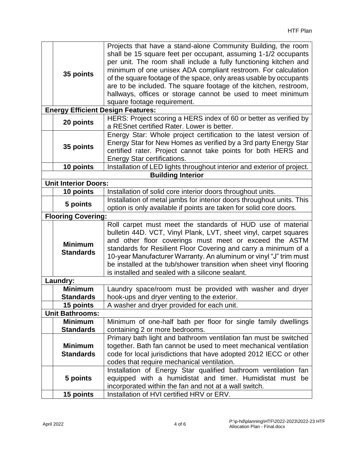|  |                                    | Projects that have a stand-alone Community Building, the room                                       |
|--|------------------------------------|-----------------------------------------------------------------------------------------------------|
|  | 35 points                          | shall be 15 square feet per occupant, assuming 1-1/2 occupants                                      |
|  |                                    | per unit. The room shall include a fully functioning kitchen and                                    |
|  |                                    | minimum of one unisex ADA compliant restroom. For calculation                                       |
|  |                                    | of the square footage of the space, only areas usable by occupants                                  |
|  |                                    | are to be included. The square footage of the kitchen, restroom,                                    |
|  |                                    | hallways, offices or storage cannot be used to meet minimum                                         |
|  |                                    | square footage requirement.                                                                         |
|  |                                    | <b>Energy Efficient Design Features:</b>                                                            |
|  | 20 points                          | HERS: Project scoring a HERS index of 60 or better as verified by                                   |
|  |                                    | a RESnet certified Rater. Lower is better.                                                          |
|  |                                    | Energy Star: Whole project certification to the latest version of                                   |
|  | 35 points                          | Energy Star for New Homes as verified by a 3rd party Energy Star                                    |
|  |                                    | certified rater. Project cannot take points for both HERS and                                       |
|  |                                    | <b>Energy Star certifications.</b>                                                                  |
|  | 10 points                          | Installation of LED lights throughout interior and exterior of project.<br><b>Building Interior</b> |
|  | <b>Unit Interior Doors:</b>        |                                                                                                     |
|  | 10 points                          | Installation of solid core interior doors throughout units.                                         |
|  |                                    | Installation of metal jambs for interior doors throughout units. This                               |
|  | 5 points                           | option is only available if points are taken for solid core doors.                                  |
|  | <b>Flooring Covering:</b>          |                                                                                                     |
|  |                                    | Roll carpet must meet the standards of HUD use of material                                          |
|  |                                    | bulletin 44D. VCT, Vinyl Plank, LVT, sheet vinyl, carpet squares                                    |
|  |                                    | and other floor coverings must meet or exceed the ASTM                                              |
|  | <b>Minimum</b><br><b>Standards</b> | standards for Resilient Floor Covering and carry a minimum of a                                     |
|  |                                    | 10-year Manufacturer Warranty. An aluminum or vinyl "J" trim must                                   |
|  |                                    | be installed at the tub/shower transition when sheet vinyl flooring                                 |
|  |                                    | is installed and sealed with a silicone sealant.                                                    |
|  | Laundry:                           |                                                                                                     |
|  | <b>Minimum</b>                     | Laundry space/room must be provided with washer and dryer                                           |
|  | <b>Standards</b>                   | hook-ups and dryer venting to the exterior.                                                         |
|  | 15 points                          | A washer and dryer provided for each unit.                                                          |
|  | <b>Unit Bathrooms:</b>             |                                                                                                     |
|  | <b>Minimum</b>                     | Minimum of one-half bath per floor for single family dwellings                                      |
|  | <b>Standards</b>                   | containing 2 or more bedrooms.                                                                      |
|  |                                    | Primary bath light and bathroom ventilation fan must be switched                                    |
|  | <b>Minimum</b>                     | together. Bath fan cannot be used to meet mechanical ventilation                                    |
|  | <b>Standards</b>                   | code for local jurisdictions that have adopted 2012 IECC or other                                   |
|  |                                    | codes that require mechanical ventilation.                                                          |
|  |                                    | Installation of Energy Star qualified bathroom ventilation fan                                      |
|  | 5 points                           | equipped with a humidistat and timer. Humidistat must be                                            |
|  |                                    | incorporated within the fan and not at a wall switch.                                               |
|  | 15 points                          | Installation of HVI certified HRV or ERV.                                                           |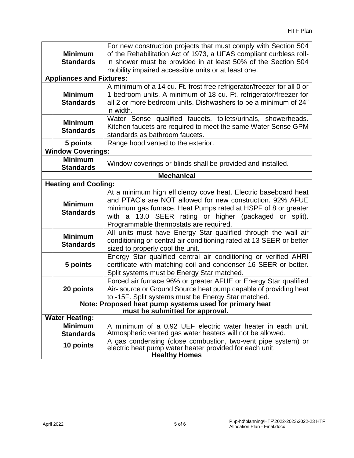|                                 | <b>Minimum</b><br><b>Standards</b> | For new construction projects that must comply with Section 504<br>of the Rehabilitation Act of 1973, a UFAS compliant curbless roll-<br>in shower must be provided in at least 50% of the Section 504                                                                                               |
|---------------------------------|------------------------------------|------------------------------------------------------------------------------------------------------------------------------------------------------------------------------------------------------------------------------------------------------------------------------------------------------|
|                                 |                                    | mobility impaired accessible units or at least one.                                                                                                                                                                                                                                                  |
|                                 | <b>Appliances and Fixtures:</b>    |                                                                                                                                                                                                                                                                                                      |
|                                 | <b>Minimum</b><br><b>Standards</b> | A minimum of a 14 cu. Ft. frost free refrigerator/freezer for all 0 or<br>1 bedroom units. A minimum of 18 cu. Ft. refrigerator/freezer for<br>all 2 or more bedroom units. Dishwashers to be a minimum of 24"<br>in width.                                                                          |
|                                 | <b>Minimum</b>                     | Water Sense qualified faucets, toilets/urinals, showerheads.                                                                                                                                                                                                                                         |
|                                 | <b>Standards</b>                   | Kitchen faucets are required to meet the same Water Sense GPM<br>standards as bathroom faucets.                                                                                                                                                                                                      |
|                                 | 5 points                           | Range hood vented to the exterior.                                                                                                                                                                                                                                                                   |
|                                 | <b>Window Coverings:</b>           |                                                                                                                                                                                                                                                                                                      |
|                                 | <b>Minimum</b><br><b>Standards</b> | Window coverings or blinds shall be provided and installed.                                                                                                                                                                                                                                          |
|                                 |                                    | <b>Mechanical</b>                                                                                                                                                                                                                                                                                    |
|                                 | <b>Heating and Cooling:</b>        |                                                                                                                                                                                                                                                                                                      |
|                                 | <b>Minimum</b><br><b>Standards</b> | At a minimum high efficiency cove heat. Electric baseboard heat<br>and PTAC's are NOT allowed for new construction. 92% AFUE<br>minimum gas furnace, Heat Pumps rated at HSPF of 8 or greater<br>a 13.0 SEER rating or higher (packaged or split).<br>with<br>Programmable thermostats are required. |
|                                 | <b>Minimum</b><br><b>Standards</b> | All units must have Energy Star qualified through the wall air<br>conditioning or central air conditioning rated at 13 SEER or better<br>sized to properly cool the unit.                                                                                                                            |
|                                 | 5 points                           | Energy Star qualified central air conditioning or verified AHRI<br>certificate with matching coil and condenser 16 SEER or better.<br>Split systems must be Energy Star matched.                                                                                                                     |
|                                 |                                    | Forced air furnace 96% or greater AFUE or Energy Star qualified                                                                                                                                                                                                                                      |
|                                 | 20 points                          | Air- source or Ground Source heat pump capable of providing heat<br>to -15F. Split systems must be Energy Star matched.                                                                                                                                                                              |
|                                 |                                    | Note: Proposed heat pump systems used for primary heat                                                                                                                                                                                                                                               |
| must be submitted for approval. |                                    |                                                                                                                                                                                                                                                                                                      |
|                                 | <b>Water Heating:</b>              |                                                                                                                                                                                                                                                                                                      |
|                                 | <b>Minimum</b>                     | A minimum of a 0.92 UEF electric water heater in each unit.<br>Atmospheric vented gas water heaters will not be allowed.                                                                                                                                                                             |
|                                 | <b>Standards</b>                   | A gas condensing (close combustion, two-vent pipe system) or                                                                                                                                                                                                                                         |
|                                 | 10 points                          | electric heat pump water heater provided for each unit.                                                                                                                                                                                                                                              |
|                                 |                                    | <b>Healthy Homes</b>                                                                                                                                                                                                                                                                                 |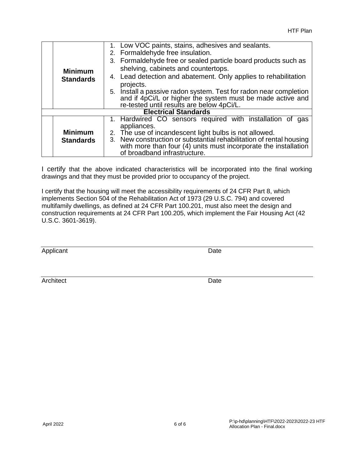|  |                                    | 1. Low VOC paints, stains, adhesives and sealants.                  |
|--|------------------------------------|---------------------------------------------------------------------|
|  | <b>Minimum</b><br><b>Standards</b> | 2. Formaldehyde free insulation.                                    |
|  |                                    | 3. Formaldehyde free or sealed particle board products such as      |
|  |                                    | shelving, cabinets and countertops.                                 |
|  |                                    | 4. Lead detection and abatement. Only applies to rehabilitation     |
|  |                                    | projects.                                                           |
|  |                                    | 5. Install a passive radon system. Test for radon near completion   |
|  |                                    | and if 4pCi/L or higher the system must be made active and          |
|  |                                    | re-tested until results are below 4pCi/L.                           |
|  |                                    | <b>Electrical Standards</b>                                         |
|  |                                    | 1. Hardwired CO sensors required with installation of<br>gas        |
|  |                                    | appliances.                                                         |
|  | <b>Minimum</b>                     | 2. The use of incandescent light bulbs is not allowed.              |
|  | <b>Standards</b>                   | 3. New construction or substantial rehabilitation of rental housing |
|  |                                    | with more than four (4) units must incorporate the installation     |
|  |                                    | of broadband infrastructure.                                        |

I certify that the above indicated characteristics will be incorporated into the final working drawings and that they must be provided prior to occupancy of the project.

I certify that the housing will meet the accessibility requirements of 24 CFR Part 8, which implements Section 504 of the Rehabilitation Act of 1973 (29 U.S.C. 794) and covered multifamily dwellings, as defined at 24 CFR Part 100.201, must also meet the design and construction requirements at 24 CFR Part 100.205, which implement the Fair Housing Act (42 U.S.C. 3601-3619).

Applicant Date **Date** 

Architect Date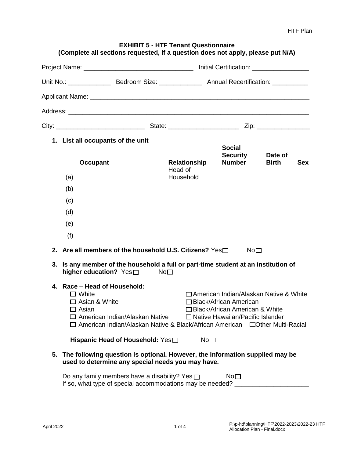|                                                                                                   | (Complete all sections requested, if a question does not apply, please put N/A)                                                                                                 | <b>EXHIBIT 5 - HTF Tenant Questionnaire</b> |                                                                                                                                                     |              |            |
|---------------------------------------------------------------------------------------------------|---------------------------------------------------------------------------------------------------------------------------------------------------------------------------------|---------------------------------------------|-----------------------------------------------------------------------------------------------------------------------------------------------------|--------------|------------|
|                                                                                                   |                                                                                                                                                                                 |                                             |                                                                                                                                                     |              |            |
| Unit No.: __________________Bedroom Size: __________________Annual Recertification: _____________ |                                                                                                                                                                                 |                                             |                                                                                                                                                     |              |            |
|                                                                                                   |                                                                                                                                                                                 |                                             |                                                                                                                                                     |              |            |
|                                                                                                   |                                                                                                                                                                                 |                                             |                                                                                                                                                     |              |            |
|                                                                                                   | City: ___________________________________State: ______________________________Zip: _________________                                                                            |                                             |                                                                                                                                                     |              |            |
|                                                                                                   | 1. List all occupants of the unit                                                                                                                                               |                                             | <b>Social</b><br><b>Security</b>                                                                                                                    | Date of      |            |
|                                                                                                   | <b>Occupant</b>                                                                                                                                                                 | <b>Relationship</b><br>Head of              | <b>Number</b>                                                                                                                                       | <b>Birth</b> | <b>Sex</b> |
| (a)                                                                                               |                                                                                                                                                                                 | Household                                   |                                                                                                                                                     |              |            |
| (b)                                                                                               |                                                                                                                                                                                 |                                             |                                                                                                                                                     |              |            |
| (c)                                                                                               |                                                                                                                                                                                 |                                             |                                                                                                                                                     |              |            |
| (d)                                                                                               |                                                                                                                                                                                 |                                             |                                                                                                                                                     |              |            |
| (e)                                                                                               |                                                                                                                                                                                 |                                             |                                                                                                                                                     |              |            |
| (f)                                                                                               |                                                                                                                                                                                 |                                             |                                                                                                                                                     |              |            |
|                                                                                                   | 2. Are all members of the household U.S. Citizens? $Yes \Box$                                                                                                                   |                                             | No <sub>1</sub>                                                                                                                                     |              |            |
|                                                                                                   | 3. Is any member of the household a full or part-time student at an institution of<br>higher education? Yes <sup>1</sup>                                                        | No <sub>1</sub>                             |                                                                                                                                                     |              |            |
| $\Box$ White<br>$\Box$ Asian                                                                      | 4. Race - Head of Household:<br>$\Box$ Asian & White<br>$\Box$ American Indian/Alaskan Native<br>□ American Indian/Alaskan Native & Black/African American □ Other Multi-Racial |                                             | □ American Indian/Alaskan Native & White<br>□ Black/African American<br>□ Black/African American & White<br>$\Box$ Native Hawaiian/Pacific Islander |              |            |
|                                                                                                   | Hispanic Head of Household: Yes                                                                                                                                                 | No <sub>1</sub>                             |                                                                                                                                                     |              |            |
|                                                                                                   | 5. The following question is optional. However, the information supplied may be<br>used to determine any special needs you may have.                                            |                                             |                                                                                                                                                     |              |            |
|                                                                                                   | Do any family members have a disability? Yes $\square$<br>If so, what type of special accommodations may be needed? __                                                          |                                             | No <sub>1</sub>                                                                                                                                     |              |            |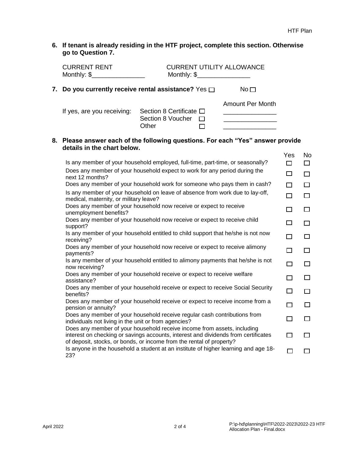**6. If tenant is already residing in the HTF project, complete this section. Otherwise go to Question 7.**

|    | <b>CURRENT RENT</b><br>Monthly: \$                   | <b>CURRENT UTILITY ALLOWANCE</b><br>Monthly: \$                                                                                                                                                                                       |                         |               |                |
|----|------------------------------------------------------|---------------------------------------------------------------------------------------------------------------------------------------------------------------------------------------------------------------------------------------|-------------------------|---------------|----------------|
| 7. |                                                      | Do you currently receive rental assistance? Yes $\Box$                                                                                                                                                                                | No <sub>1</sub>         |               |                |
|    | If yes, are you receiving:                           | Section 8 Certificate □<br>Section 8 Voucher<br>П<br>Other<br>П                                                                                                                                                                       | <b>Amount Per Month</b> |               |                |
| 8. | details in the chart below.                          | Please answer each of the following questions. For each "Yes" answer provide                                                                                                                                                          |                         |               |                |
|    |                                                      | Is any member of your household employed, full-time, part-time, or seasonally?                                                                                                                                                        |                         | Yes<br>$\Box$ | <b>No</b><br>□ |
|    | next 12 months?                                      | Does any member of your household expect to work for any period during the                                                                                                                                                            |                         | П             | □              |
|    |                                                      | Does any member of your household work for someone who pays them in cash?                                                                                                                                                             |                         | □             | $\Box$         |
|    | medical, maternity, or military leave?               | Is any member of your household on leave of absence from work due to lay-off,                                                                                                                                                         |                         | П             | $\Box$         |
|    | unemployment benefits?                               | Does any member of your household now receive or expect to receive                                                                                                                                                                    |                         | П             | □              |
|    | support?                                             | Does any member of your household now receive or expect to receive child                                                                                                                                                              |                         | П             | П              |
|    | receiving?                                           | Is any member of your household entitled to child support that he/she is not now                                                                                                                                                      |                         | П             | □              |
|    | payments?                                            | Does any member of your household now receive or expect to receive alimony                                                                                                                                                            |                         | П             | П              |
|    | now receiving?                                       | Is any member of your household entitled to alimony payments that he/she is not                                                                                                                                                       |                         | □             | □              |
|    | assistance?                                          | Does any member of your household receive or expect to receive welfare                                                                                                                                                                |                         | П             | □              |
|    | benefits?                                            | Does any member of your household receive or expect to receive Social Security                                                                                                                                                        |                         | □             | □              |
|    | pension or annuity?                                  | Does any member of your household receive or expect to receive income from a                                                                                                                                                          |                         | П             | □              |
|    | individuals not living in the unit or from agencies? | Does any member of your household receive regular cash contributions from                                                                                                                                                             |                         | П             | □              |
|    |                                                      | Does any member of your household receive income from assets, including<br>interest on checking or savings accounts, interest and dividends from certificates<br>of deposit, stocks, or bonds, or income from the rental of property? |                         | □             | □              |
|    | 23?                                                  | Is anyone in the household a student at an institute of higher learning and age 18-                                                                                                                                                   |                         | □             | □              |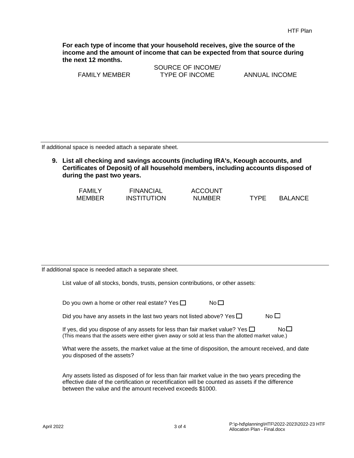**For each type of income that your household receives, give the source of the income and the amount of income that can be expected from that source during the next 12 months.**

FAMILY MEMBER

SOURCE OF INCOME/ TYPE OF INCOME ANNUAL INCOME

If additional space is needed attach a separate sheet.

**9. List all checking and savings accounts (including IRA's, Keough accounts, and Certificates of Deposit) of all household members, including accounts disposed of during the past two years.**

| FAMILY | FINANCIAL          | <b>ACCOUNT</b> |             |                |
|--------|--------------------|----------------|-------------|----------------|
| MEMBER | <b>INSTITUTION</b> | <b>NUMBER</b>  | <b>TYPF</b> | <b>BALANCE</b> |

If additional space is needed attach a separate sheet.

List value of all stocks, bonds, trusts, pension contributions, or other assets:

Do you own a home or other real estate? Yes  $\square$  No  $\square$ 

Did you have any assets in the last two years not listed above? Yes  $\square$  No  $\square$ 

If yes, did you dispose of any assets for less than fair market value? Yes  $\Box$  No $\Box$ (This means that the assets were either given away or sold at less than the allotted market value.)

What were the assets, the market value at the time of disposition, the amount received, and date you disposed of the assets?

Any assets listed as disposed of for less than fair market value in the two years preceding the effective date of the certification or recertification will be counted as assets if the difference between the value and the amount received exceeds \$1000.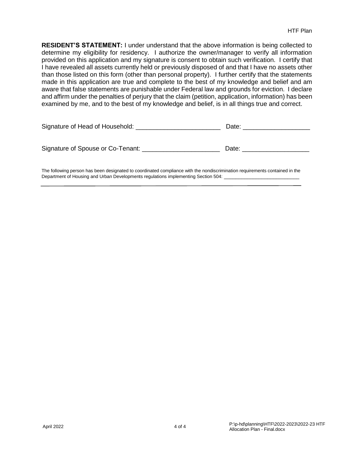**RESIDENT'S STATEMENT:** I under understand that the above information is being collected to determine my eligibility for residency. I authorize the owner/manager to verify all information provided on this application and my signature is consent to obtain such verification. I certify that I have revealed all assets currently held or previously disposed of and that I have no assets other than those listed on this form (other than personal property). I further certify that the statements made in this application are true and complete to the best of my knowledge and belief and am aware that false statements are punishable under Federal law and grounds for eviction. I declare and affirm under the penalties of perjury that the claim (petition, application, information) has been examined by me, and to the best of my knowledge and belief, is in all things true and correct.

| Signature of Head of Household: | Date: |
|---------------------------------|-------|
|                                 |       |
|                                 |       |

Signature of Spouse or Co-Tenant: \_\_\_\_\_\_\_\_\_\_\_\_\_\_\_\_\_\_\_\_\_\_ Date: \_\_\_\_\_\_\_\_\_\_\_\_\_\_\_\_\_\_\_

The following person has been designated to coordinated compliance with the nondiscrimination requirements contained in the Department of Housing and Urban Developments regulations implementing Section 504: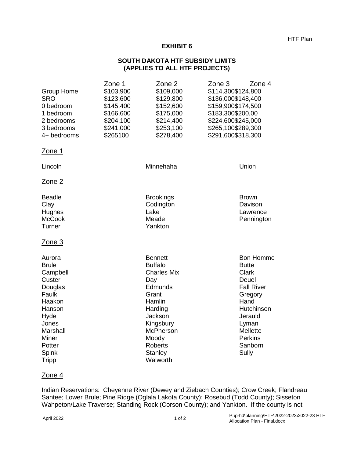#### **EXHIBIT 6**

#### **SOUTH DAKOTA HTF SUBSIDY LIMITS (APPLIES TO ALL HTF PROJECTS)**

| Zone 1<br>\$103,900<br>\$123,600<br>\$145,400<br>\$166,600<br>\$204,100<br>\$241,000<br>\$265100 | Zone 2<br>\$109,000<br>\$129,800<br>\$152,600<br>\$175,000<br>\$214,400<br>\$253,100<br>\$278,400                                                                                                    | Zone 3<br>Zone 4<br>\$114,300\$124,800<br>\$136,000\$148,400<br>\$159,900\$174,500<br>\$183,300\$200,00<br>\$224,600\$245,000<br>\$265,100\$289,300<br>\$291,600\$318,300      |
|--------------------------------------------------------------------------------------------------|------------------------------------------------------------------------------------------------------------------------------------------------------------------------------------------------------|--------------------------------------------------------------------------------------------------------------------------------------------------------------------------------|
|                                                                                                  |                                                                                                                                                                                                      |                                                                                                                                                                                |
|                                                                                                  | Minnehaha                                                                                                                                                                                            | Union                                                                                                                                                                          |
|                                                                                                  |                                                                                                                                                                                                      |                                                                                                                                                                                |
|                                                                                                  | <b>Brookings</b><br>Codington<br>Lake<br>Meade<br>Yankton                                                                                                                                            | <b>Brown</b><br>Davison<br>Lawrence<br>Pennington                                                                                                                              |
|                                                                                                  |                                                                                                                                                                                                      |                                                                                                                                                                                |
|                                                                                                  | <b>Bennett</b><br><b>Buffalo</b><br><b>Charles Mix</b><br>Day<br>Edmunds<br>Grant<br>Hamlin<br>Harding<br>Jackson<br>Kingsbury<br>McPherson<br>Moody<br><b>Roberts</b><br><b>Stanley</b><br>Walworth | Bon Homme<br><b>Butte</b><br><b>Clark</b><br>Deuel<br><b>Fall River</b><br>Gregory<br>Hand<br>Hutchinson<br>Jerauld<br>Lyman<br>Mellette<br><b>Perkins</b><br>Sanborn<br>Sully |
|                                                                                                  |                                                                                                                                                                                                      |                                                                                                                                                                                |

# Zone 4

Indian Reservations: Cheyenne River (Dewey and Ziebach Counties); Crow Creek; Flandreau Santee; Lower Brule; Pine Ridge (Oglala Lakota County); Rosebud (Todd County); Sisseton Wahpeton/Lake Traverse; Standing Rock (Corson County); and Yankton. If the county is not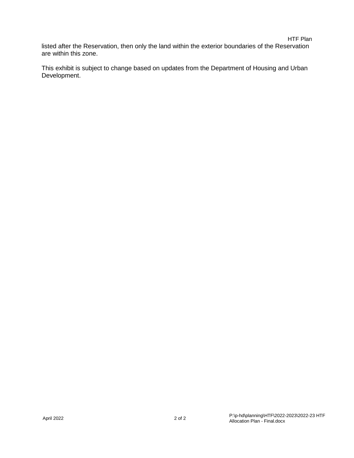HTF Plan

listed after the Reservation, then only the land within the exterior boundaries of the Reservation are within this zone.

This exhibit is subject to change based on updates from the Department of Housing and Urban Development.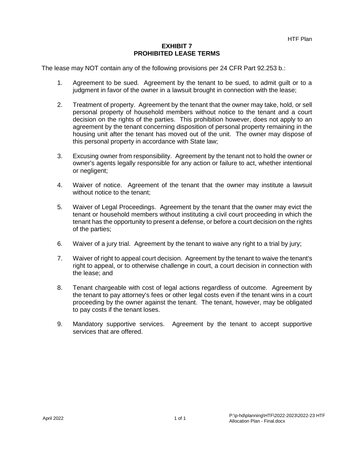#### **EXHIBIT 7 PROHIBITED LEASE TERMS**

The lease may NOT contain any of the following provisions per 24 CFR Part 92.253 b.:

- 1. Agreement to be sued. Agreement by the tenant to be sued, to admit guilt or to a judgment in favor of the owner in a lawsuit brought in connection with the lease;
- 2. Treatment of property. Agreement by the tenant that the owner may take, hold, or sell personal property of household members without notice to the tenant and a court decision on the rights of the parties. This prohibition however, does not apply to an agreement by the tenant concerning disposition of personal property remaining in the housing unit after the tenant has moved out of the unit. The owner may dispose of this personal property in accordance with State law;
- 3. Excusing owner from responsibility. Agreement by the tenant not to hold the owner or owner's agents legally responsible for any action or failure to act, whether intentional or negligent;
- 4. Waiver of notice. Agreement of the tenant that the owner may institute a lawsuit without notice to the tenant;
- 5. Waiver of Legal Proceedings. Agreement by the tenant that the owner may evict the tenant or household members without instituting a civil court proceeding in which the tenant has the opportunity to present a defense, or before a court decision on the rights of the parties;
- 6. Waiver of a jury trial. Agreement by the tenant to waive any right to a trial by jury;
- 7. Waiver of right to appeal court decision. Agreement by the tenant to waive the tenant's right to appeal, or to otherwise challenge in court, a court decision in connection with the lease; and
- 8. Tenant chargeable with cost of legal actions regardless of outcome. Agreement by the tenant to pay attorney's fees or other legal costs even if the tenant wins in a court proceeding by the owner against the tenant. The tenant, however, may be obligated to pay costs if the tenant loses.
- 9. Mandatory supportive services. Agreement by the tenant to accept supportive services that are offered.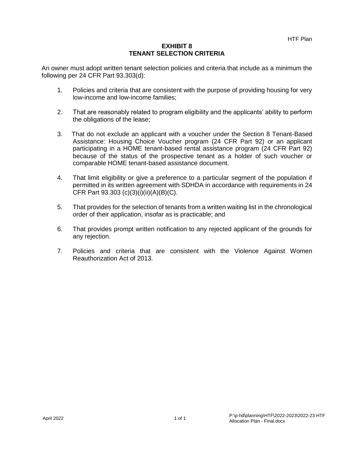#### **EXHIBIT 8 TENANT SELECTION CRITERIA**

An owner must adopt written tenant selection policies and criteria that include as a minimum the following per 24 CFR Part 93.303(d):

- 1. Policies and criteria that are consistent with the purpose of providing housing for very low-income and low-income families;
- 2. That are reasonably related to program eligibility and the applicants' ability to perform the obligations of the lease;
- 3. That do not exclude an applicant with a voucher under the Section 8 Tenant-Based Assistance: Housing Choice Voucher program (24 CFR Part 92) or an applicant participating in a HOME tenant-based rental assistance program (24 CFR Part 92) because of the status of the prospective tenant as a holder of such voucher or comparable HOME tenant-based assistance document.
- 4. That limit eligibility or give a preference to a particular segment of the population if permitted in its written agreement with SDHDA in accordance with requirements in 24 CFR Part 93.303 (c)(3)(i)(ii)(A)(B)(C).
- 5. That provides for the selection of tenants from a written waiting list in the chronological order of their application, insofar as is practicable; and
- 6. That provides prompt written notification to any rejected applicant of the grounds for any rejection.
- 7. Policies and criteria that are consistent with the Violence Against Women Reauthorization Act of 2013.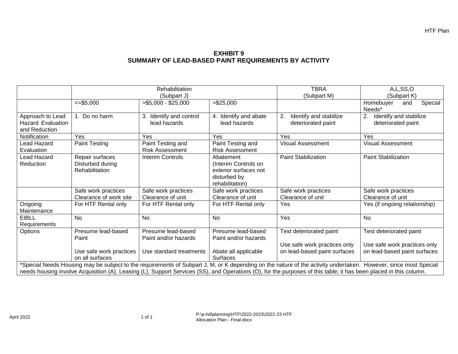## **EXHIBIT 9 SUMMARY OF LEAD-BASED PAINT REQUIREMENTS BY ACTIVITY**

|                                                               | Rehabilitation                                        |                                             | <b>TBRA</b>                                                                                   | A,L,SS,O                                                                                                                                                                                                                                                                                                                             |                                                         |  |
|---------------------------------------------------------------|-------------------------------------------------------|---------------------------------------------|-----------------------------------------------------------------------------------------------|--------------------------------------------------------------------------------------------------------------------------------------------------------------------------------------------------------------------------------------------------------------------------------------------------------------------------------------|---------------------------------------------------------|--|
|                                                               |                                                       | (Subpart J)                                 |                                                                                               | (Subpart M)                                                                                                                                                                                                                                                                                                                          | (Subpart K)                                             |  |
|                                                               | $\leq$ = \$5,000                                      | $> $5,000 - $25,000$                        | > \$25,000                                                                                    |                                                                                                                                                                                                                                                                                                                                      | Special<br>Homebuyer<br>and<br>Needs*                   |  |
| Approach to Lead<br><b>Hazard Evaluation</b><br>and Reduction | 1. Do no harm                                         | Identify and control<br>3.<br>lead hazards  | 4. Identify and abate<br>lead hazards                                                         | Identify and stabilize<br>2.<br>deteriorated paint                                                                                                                                                                                                                                                                                   | Identify and stabilize<br>2.<br>deteriorated paint      |  |
| Notification                                                  | Yes                                                   | Yes                                         | Yes                                                                                           | Yes                                                                                                                                                                                                                                                                                                                                  | Yes                                                     |  |
| Lead Hazard<br>Evaluation                                     | <b>Paint Testing</b>                                  | Paint Testing and<br><b>Risk Assessment</b> | Paint Testing and<br><b>Risk Assessment</b>                                                   | Visual Assessment                                                                                                                                                                                                                                                                                                                    | <b>Visual Assessment</b>                                |  |
| Lead Hazard<br>Reduction                                      | Repair surfaces<br>Disturbed during<br>Rehabilitation | <b>Interim Controls</b>                     | Abatement<br>(Interim Controls on<br>exterior surfaces not<br>disturbed by<br>rehabilitation) | <b>Paint Stabilization</b>                                                                                                                                                                                                                                                                                                           | <b>Paint Stabilization</b>                              |  |
|                                                               | Safe work practices<br>Clearance of work site         | Safe work practices<br>Clearance of unit    | Safe work practices<br>Clearance of unit                                                      | Safe work practices<br>Clearance of unit                                                                                                                                                                                                                                                                                             | Safe work practices<br>Clearance of unit                |  |
| Ongoing<br>Maintenance                                        | For HTF Rental only                                   | For HTF Rental only                         | For HTF Rental only                                                                           | Yes                                                                                                                                                                                                                                                                                                                                  | Yes (if ongoing relationship)                           |  |
| <b>EIBLL</b><br>Requirements                                  | <b>No</b>                                             | <b>No</b>                                   | <b>No</b>                                                                                     | Yes                                                                                                                                                                                                                                                                                                                                  | No                                                      |  |
| Options                                                       | Presume lead-based<br>Paint                           | Presume lead-based<br>Paint and/or hazards  | Presume lead-based<br>Paint and/or hazards                                                    | Test deteriorated paint<br>Use safe work practices only                                                                                                                                                                                                                                                                              | Test deteriorated paint<br>Use safe work practices only |  |
|                                                               | Use safe work practices<br>on all surfaces            | Use standard treatments                     | Abate all applicable<br><b>Surfaces</b>                                                       | on lead-based paint surfaces                                                                                                                                                                                                                                                                                                         | on lead-based paint surfaces                            |  |
|                                                               |                                                       |                                             |                                                                                               | *Special Needs Housing may be subject to the requirements of Subpart J, M, or K depending on the nature of the activity undertaken. However, since most Special<br>needs housing involve Acquisition (A), Leasing (L), Support Services (SS), and Operations (O), for the purposes of this table; it has been placed in this column. |                                                         |  |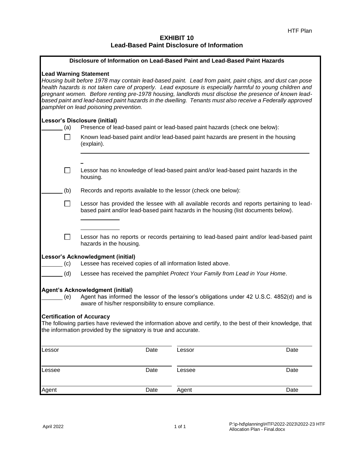## **EXHIBIT 10 Lead-Based Paint Disclosure of Information**

|                                                                                                                                                                                                                    | Disclosure of Information on Lead-Based Paint and Lead-Based Paint Hazards                                                                                                                   |      |                                                                                                                                                                                                                                                                                                                                                                                                                                        |      |  |  |
|--------------------------------------------------------------------------------------------------------------------------------------------------------------------------------------------------------------------|----------------------------------------------------------------------------------------------------------------------------------------------------------------------------------------------|------|----------------------------------------------------------------------------------------------------------------------------------------------------------------------------------------------------------------------------------------------------------------------------------------------------------------------------------------------------------------------------------------------------------------------------------------|------|--|--|
| <b>Lead Warning Statement</b>                                                                                                                                                                                      | pamphlet on lead poisoning prevention.                                                                                                                                                       |      | Housing built before 1978 may contain lead-based paint. Lead from paint, paint chips, and dust can pose<br>health hazards is not taken care of properly. Lead exposure is especially harmful to young children and<br>pregnant women. Before renting pre-1978 housing, landlords must disclose the presence of known lead-<br>based paint and lead-based paint hazards in the dwelling. Tenants must also receive a Federally approved |      |  |  |
| (a)                                                                                                                                                                                                                | <b>Lessor's Disclosure (initial)</b>                                                                                                                                                         |      | Presence of lead-based paint or lead-based paint hazards (check one below):                                                                                                                                                                                                                                                                                                                                                            |      |  |  |
|                                                                                                                                                                                                                    | Known lead-based paint and/or lead-based paint hazards are present in the housing<br>(explain).                                                                                              |      |                                                                                                                                                                                                                                                                                                                                                                                                                                        |      |  |  |
|                                                                                                                                                                                                                    | housing.                                                                                                                                                                                     |      | Lessor has no knowledge of lead-based paint and/or lead-based paint hazards in the                                                                                                                                                                                                                                                                                                                                                     |      |  |  |
| (b)                                                                                                                                                                                                                |                                                                                                                                                                                              |      | Records and reports available to the lessor (check one below):                                                                                                                                                                                                                                                                                                                                                                         |      |  |  |
|                                                                                                                                                                                                                    | Lessor has provided the lessee with all available records and reports pertaining to lead-<br>based paint and/or lead-based paint hazards in the housing (list documents below).              |      |                                                                                                                                                                                                                                                                                                                                                                                                                                        |      |  |  |
|                                                                                                                                                                                                                    | Lessor has no reports or records pertaining to lead-based paint and/or lead-based paint<br>hazards in the housing.                                                                           |      |                                                                                                                                                                                                                                                                                                                                                                                                                                        |      |  |  |
| (c)                                                                                                                                                                                                                | <b>Lessor's Acknowledgment (initial)</b><br>Lessee has received copies of all information listed above.                                                                                      |      |                                                                                                                                                                                                                                                                                                                                                                                                                                        |      |  |  |
| (d)                                                                                                                                                                                                                |                                                                                                                                                                                              |      | Lessee has received the pamphlet Protect Your Family from Lead in Your Home.                                                                                                                                                                                                                                                                                                                                                           |      |  |  |
| (e)                                                                                                                                                                                                                | <b>Agent's Acknowledgment (initial)</b><br>Agent has informed the lessor of the lessor's obligations under 42 U.S.C. 4852(d) and is<br>aware of his/her responsibility to ensure compliance. |      |                                                                                                                                                                                                                                                                                                                                                                                                                                        |      |  |  |
| <b>Certification of Accuracy</b><br>The following parties have reviewed the information above and certify, to the best of their knowledge, that<br>the information provided by the signatory is true and accurate. |                                                                                                                                                                                              |      |                                                                                                                                                                                                                                                                                                                                                                                                                                        |      |  |  |
| Lessor                                                                                                                                                                                                             |                                                                                                                                                                                              | Date | Lessor                                                                                                                                                                                                                                                                                                                                                                                                                                 | Date |  |  |
| Lessee                                                                                                                                                                                                             |                                                                                                                                                                                              | Date | Lessee                                                                                                                                                                                                                                                                                                                                                                                                                                 | Date |  |  |
| Agent                                                                                                                                                                                                              |                                                                                                                                                                                              | Date | Agent                                                                                                                                                                                                                                                                                                                                                                                                                                  | Date |  |  |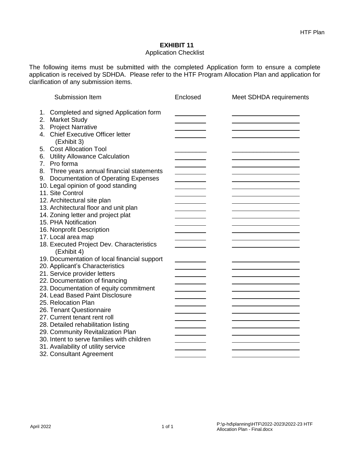## **EXHIBIT 11**

#### Application Checklist

The following items must be submitted with the completed Application form to ensure a complete application is received by SDHDA. Please refer to the HTF Program Allocation Plan and application for clarification of any submission items.

| Submission Item                               | Enclosed | Meet SDHDA requirements |
|-----------------------------------------------|----------|-------------------------|
| Completed and signed Application form<br>1.   |          |                         |
| 2.<br><b>Market Study</b>                     |          |                         |
| <b>Project Narrative</b><br>3.                |          |                         |
| <b>Chief Executive Officer letter</b><br>4.   |          |                         |
| (Exhibit 3)                                   |          |                         |
| <b>Cost Allocation Tool</b><br>5.             |          |                         |
| <b>Utility Allowance Calculation</b><br>6.    |          |                         |
| 7.<br>Pro forma                               |          |                         |
| Three years annual financial statements<br>8. |          |                         |
| Documentation of Operating Expenses<br>9.     |          |                         |
| 10. Legal opinion of good standing            |          |                         |
| 11. Site Control                              |          |                         |
| 12. Architectural site plan                   |          |                         |
| 13. Architectural floor and unit plan         |          |                         |
| 14. Zoning letter and project plat            |          |                         |
| 15. PHA Notification                          |          |                         |
| 16. Nonprofit Description                     |          |                         |
| 17. Local area map                            |          |                         |
| 18. Executed Project Dev. Characteristics     |          |                         |
| (Exhibit 4)                                   |          |                         |
| 19. Documentation of local financial support  |          |                         |
| 20. Applicant's Characteristics               |          |                         |
| 21. Service provider letters                  |          |                         |
| 22. Documentation of financing                |          |                         |
| 23. Documentation of equity commitment        |          |                         |
| 24. Lead Based Paint Disclosure               |          |                         |
| 25. Relocation Plan                           |          |                         |
| 26. Tenant Questionnaire                      |          |                         |
| 27. Current tenant rent roll                  |          |                         |
| 28. Detailed rehabilitation listing           |          |                         |
| 29. Community Revitalization Plan             |          |                         |
| 30. Intent to serve families with children    |          |                         |
| 31. Availability of utility service           |          |                         |
| 32. Consultant Agreement                      |          |                         |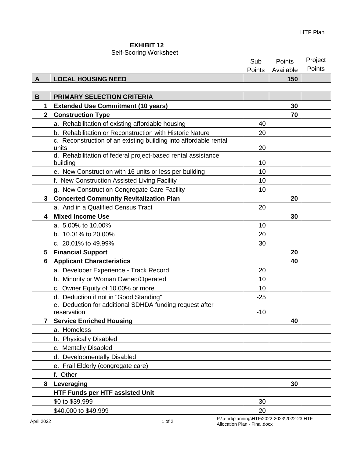Sub Points Project

# **EXHIBIT 12**

# Self-Scoring Worksheet

|                |                                                                          | Points | Available | Points |
|----------------|--------------------------------------------------------------------------|--------|-----------|--------|
| A              | <b>LOCAL HOUSING NEED</b>                                                |        | 150       |        |
|                |                                                                          |        |           |        |
| B              | <b>PRIMARY SELECTION CRITERIA</b>                                        |        |           |        |
| 1              | <b>Extended Use Commitment (10 years)</b>                                |        | 30        |        |
| $\mathbf{2}$   | <b>Construction Type</b>                                                 |        | 70        |        |
|                | a. Rehabilitation of existing affordable housing                         | 40     |           |        |
|                | b. Rehabilitation or Reconstruction with Historic Nature                 | 20     |           |        |
|                | c. Reconstruction of an existing building into affordable rental         |        |           |        |
|                | units                                                                    | 20     |           |        |
|                | d. Rehabilitation of federal project-based rental assistance<br>building | 10     |           |        |
|                | e. New Construction with 16 units or less per building                   | 10     |           |        |
|                | f. New Construction Assisted Living Facility                             | 10     |           |        |
|                | g. New Construction Congregate Care Facility                             | 10     |           |        |
| 3              | <b>Concerted Community Revitalization Plan</b>                           |        | 20        |        |
|                | a. And in a Qualified Census Tract                                       | 20     |           |        |
| 4              | <b>Mixed Income Use</b>                                                  |        | 30        |        |
|                | a. 5.00% to 10.00%                                                       | 10     |           |        |
|                | b. 10.01% to 20.00%                                                      | 20     |           |        |
|                | c. 20.01% to 49.99%                                                      | 30     |           |        |
| 5              | <b>Financial Support</b>                                                 |        | 20        |        |
| 6              | <b>Applicant Characteristics</b>                                         |        | 40        |        |
|                | a. Developer Experience - Track Record                                   | 20     |           |        |
|                | b. Minority or Woman Owned/Operated                                      | 10     |           |        |
|                | c. Owner Equity of 10.00% or more                                        | 10     |           |        |
|                | d. Deduction if not in "Good Standing"                                   | $-25$  |           |        |
|                | e. Deduction for additional SDHDA funding request after<br>reservation   | $-10$  |           |        |
| $\overline{7}$ | <b>Service Enriched Housing</b>                                          |        | 40        |        |
|                | a. Homeless                                                              |        |           |        |
|                | b. Physically Disabled                                                   |        |           |        |
|                | c. Mentally Disabled                                                     |        |           |        |
|                | d. Developmentally Disabled                                              |        |           |        |
|                | e. Frail Elderly (congregate care)                                       |        |           |        |
|                | f. Other                                                                 |        |           |        |
| 8              | Leveraging                                                               |        | 30        |        |
|                | HTF Funds per HTF assisted Unit                                          |        |           |        |
|                | \$0 to \$39,999                                                          | 30     |           |        |
|                | \$40,000 to \$49,999                                                     | 20     |           |        |